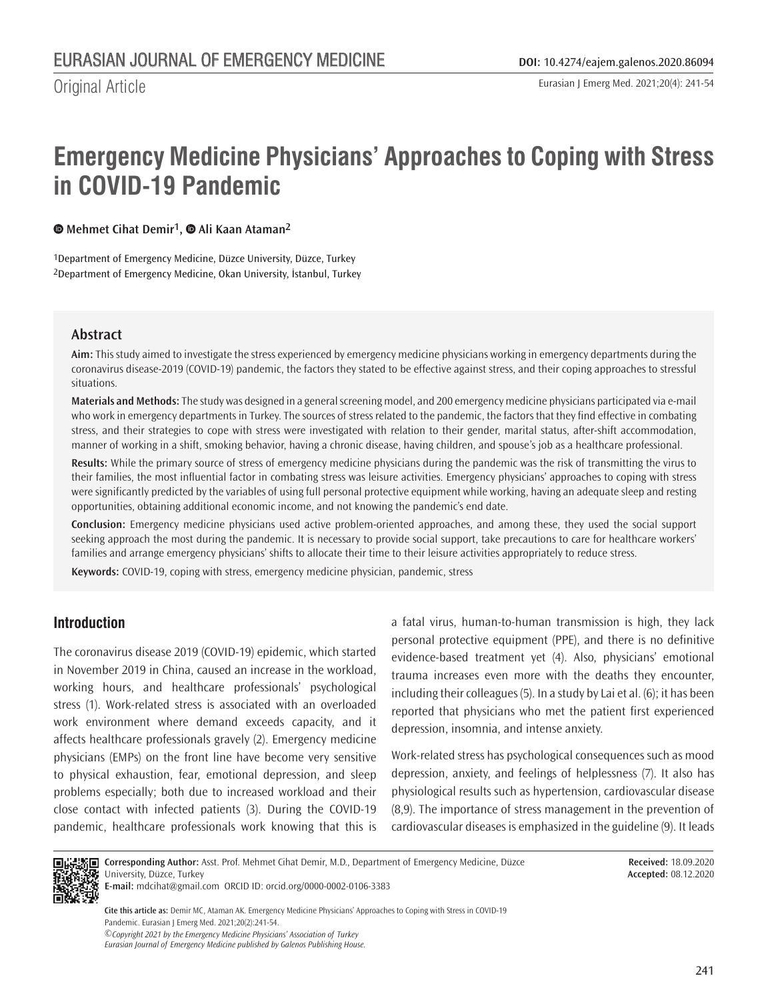Original Article

# **Emergency Medicine Physicians' Approaches to Coping with Stress in COVID-19 Pandemic**

**Mehmet Cihat Demir1[,](https://orcid.org/0000-0002-1248-6226) Ali Kaan Ataman2**

1Department of Emergency Medicine, Düzce University, Düzce, Turkey 2Department of Emergency Medicine, Okan University, İstanbul, Turkey

# **Abstract**

**Aim:** This study aimed to investigate the stress experienced by emergency medicine physicians working in emergency departments during the coronavirus disease-2019 (COVID-19) pandemic, the factors they stated to be effective against stress, and their coping approaches to stressful situations.

**Materials and Methods:** The study was designed in a general screening model, and 200 emergency medicine physicians participated via e-mail who work in emergency departments in Turkey. The sources of stress related to the pandemic, the factors that they find effective in combating stress, and their strategies to cope with stress were investigated with relation to their gender, marital status, after-shift accommodation, manner of working in a shift, smoking behavior, having a chronic disease, having children, and spouse's job as a healthcare professional.

**Results:** While the primary source of stress of emergency medicine physicians during the pandemic was the risk of transmitting the virus to their families, the most influential factor in combating stress was leisure activities. Emergency physicians' approaches to coping with stress were significantly predicted by the variables of using full personal protective equipment while working, having an adequate sleep and resting opportunities, obtaining additional economic income, and not knowing the pandemic's end date.

**Conclusion:** Emergency medicine physicians used active problem-oriented approaches, and among these, they used the social support seeking approach the most during the pandemic. It is necessary to provide social support, take precautions to care for healthcare workers' families and arrange emergency physicians' shifts to allocate their time to their leisure activities appropriately to reduce stress.

**Keywords:** COVID-19, coping with stress, emergency medicine physician, pandemic, stress

# **Introduction**

The coronavirus disease 2019 (COVID-19) epidemic, which started in November 2019 in China, caused an increase in the workload, working hours, and healthcare professionals' psychological stress (1). Work-related stress is associated with an overloaded work environment where demand exceeds capacity, and it affects healthcare professionals gravely (2). Emergency medicine physicians (EMPs) on the front line have become very sensitive to physical exhaustion, fear, emotional depression, and sleep problems especially; both due to increased workload and their close contact with infected patients (3). During the COVID-19 pandemic, healthcare professionals work knowing that this is a fatal virus, human-to-human transmission is high, they lack personal protective equipment (PPE), and there is no definitive evidence-based treatment yet (4). Also, physicians' emotional trauma increases even more with the deaths they encounter, including their colleagues (5). In a study by Lai et al. (6); it has been reported that physicians who met the patient first experienced depression, insomnia, and intense anxiety.

Work-related stress has psychological consequences such as mood depression, anxiety, and feelings of helplessness (7). It also has physiological results such as hypertension, cardiovascular disease (8,9). The importance of stress management in the prevention of cardiovascular diseases is emphasized in the guideline (9). It leads



**Corresponding Author:** Asst. Prof. Mehmet Cihat Demir, M.D., Department of Emergency Medicine, Düzce University, Düzce, Turkey **E-mail:** mdcihat@gmail.com ORCID ID: orcid.org/0000-0002-0106-3383

**Received:** 18.09.2020 **Accepted:** 08.12.2020

*©Copyright 2021 by the Emergency Medicine Physicians' Association of Turkey* **Cite this article as:** Demir MC, Ataman AK. Emergency Medicine Physicians' Approaches to Coping with Stress in COVID-19 Pandemic. Eurasian J Emerg Med. 2021;20(2):241-54.

*Eurasian Journal of Emergency Medicine published by Galenos Publishing House.*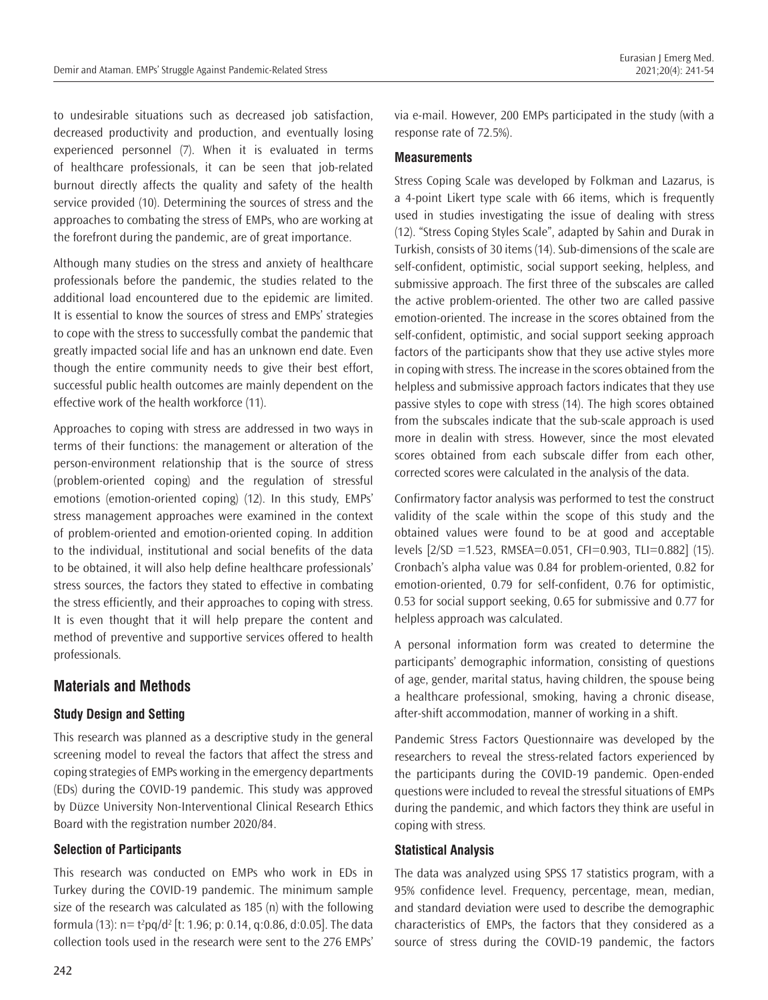to undesirable situations such as decreased job satisfaction, decreased productivity and production, and eventually losing experienced personnel (7). When it is evaluated in terms of healthcare professionals, it can be seen that job-related burnout directly affects the quality and safety of the health service provided (10). Determining the sources of stress and the approaches to combating the stress of EMPs, who are working at the forefront during the pandemic, are of great importance.

Although many studies on the stress and anxiety of healthcare professionals before the pandemic, the studies related to the additional load encountered due to the epidemic are limited. It is essential to know the sources of stress and EMPs' strategies to cope with the stress to successfully combat the pandemic that greatly impacted social life and has an unknown end date. Even though the entire community needs to give their best effort, successful public health outcomes are mainly dependent on the effective work of the health workforce (11).

Approaches to coping with stress are addressed in two ways in terms of their functions: the management or alteration of the person-environment relationship that is the source of stress (problem-oriented coping) and the regulation of stressful emotions (emotion-oriented coping) (12). In this study, EMPs' stress management approaches were examined in the context of problem-oriented and emotion-oriented coping. In addition to the individual, institutional and social benefits of the data to be obtained, it will also help define healthcare professionals' stress sources, the factors they stated to effective in combating the stress efficiently, and their approaches to coping with stress. It is even thought that it will help prepare the content and method of preventive and supportive services offered to health professionals.

# **Materials and Methods**

## **Study Design and Setting**

This research was planned as a descriptive study in the general screening model to reveal the factors that affect the stress and coping strategies of EMPs working in the emergency departments (EDs) during the COVID-19 pandemic. This study was approved by Düzce University Non-Interventional Clinical Research Ethics Board with the registration number 2020/84.

## **Selection of Participants**

This research was conducted on EMPs who work in EDs in Turkey during the COVID-19 pandemic. The minimum sample size of the research was calculated as 185 (n) with the following formula (13):  $n = t^2 pq/d^2$  [t: 1.96; p: 0.14, q:0.86, d:0.05]. The data collection tools used in the research were sent to the 276 EMPs'

via e-mail. However, 200 EMPs participated in the study (with a response rate of 72.5%).

#### **Measurements**

Stress Coping Scale was developed by Folkman and Lazarus, is a 4-point Likert type scale with 66 items, which is frequently used in studies investigating the issue of dealing with stress (12). "Stress Coping Styles Scale", adapted by Sahin and Durak in Turkish, consists of 30 items (14). Sub-dimensions of the scale are self-confident, optimistic, social support seeking, helpless, and submissive approach. The first three of the subscales are called the active problem-oriented. The other two are called passive emotion-oriented. The increase in the scores obtained from the self-confident, optimistic, and social support seeking approach factors of the participants show that they use active styles more in coping with stress. The increase in the scores obtained from the helpless and submissive approach factors indicates that they use passive styles to cope with stress (14). The high scores obtained from the subscales indicate that the sub-scale approach is used more in dealin with stress. However, since the most elevated scores obtained from each subscale differ from each other, corrected scores were calculated in the analysis of the data.

Confirmatory factor analysis was performed to test the construct validity of the scale within the scope of this study and the obtained values were found to be at good and acceptable levels [2/SD =1.523, RMSEA=0.051, CFI=0.903, TLI=0.882] (15). Cronbach's alpha value was 0.84 for problem-oriented, 0.82 for emotion-oriented, 0.79 for self-confident, 0.76 for optimistic, 0.53 for social support seeking, 0.65 for submissive and 0.77 for helpless approach was calculated.

A personal information form was created to determine the participants' demographic information, consisting of questions of age, gender, marital status, having children, the spouse being a healthcare professional, smoking, having a chronic disease, after-shift accommodation, manner of working in a shift.

Pandemic Stress Factors Questionnaire was developed by the researchers to reveal the stress-related factors experienced by the participants during the COVID-19 pandemic. Open-ended questions were included to reveal the stressful situations of EMPs during the pandemic, and which factors they think are useful in coping with stress.

#### **Statistical Analysis**

The data was analyzed using SPSS 17 statistics program, with a 95% confidence level. Frequency, percentage, mean, median, and standard deviation were used to describe the demographic characteristics of EMPs, the factors that they considered as a source of stress during the COVID-19 pandemic, the factors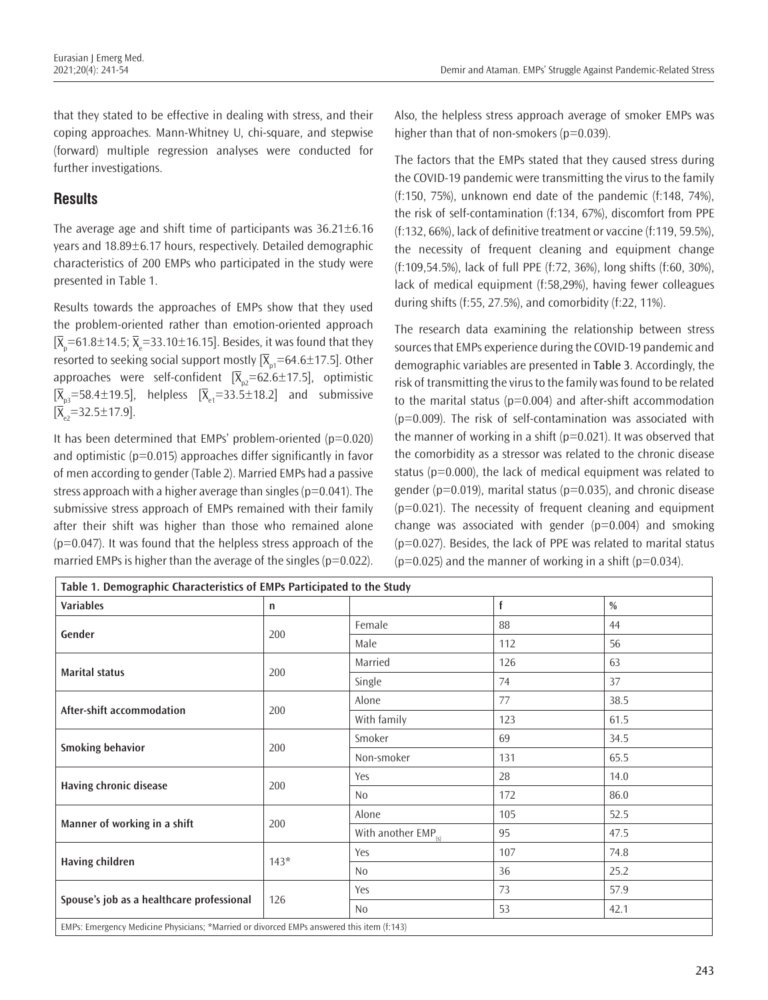that they stated to be effective in dealing with stress, and their coping approaches. Mann-Whitney U, chi-square, and stepwise (forward) multiple regression analyses were conducted for further investigations.

# **Results**

The average age and shift time of participants was  $36.21 \pm 6.16$ years and 18.89±6.17 hours, respectively. Detailed demographic characteristics of 200 EMPs who participated in the study were presented in Table 1.

Results towards the approaches of EMPs show that they used the problem-oriented rather than emotion-oriented approach  $[X_{\rho} = 61.8 \pm 14.5; X_{\rho} = 33.10 \pm 16.15]$ . Besides, it was found that they resorted to seeking social support mostly  $[\overline{X}_{n1} = 64.6 \pm 17.5]$ . Other approaches were self-confident  $[\overline{X}_{02} = 62.6 \pm 17.5]$ , optimistic  $[\bar{X}_{03} = 58.4 \pm 19.5]$ , helpless  $[\bar{X}_{e1} = 33.5 \pm 18.2]$  and submissive  $[\overline{X}_{2}$ =32.5±17.9].

It has been determined that EMPs' problem-oriented  $(p=0.020)$ and optimistic (p=0.015) approaches differ significantly in favor of men according to gender (Table 2). Married EMPs had a passive stress approach with a higher average than singles ( $p=0.041$ ). The submissive stress approach of EMPs remained with their family after their shift was higher than those who remained alone  $(p=0.047)$ . It was found that the helpless stress approach of the married EMPs is higher than the average of the singles ( $p=0.022$ ). Also, the helpless stress approach average of smoker EMPs was higher than that of non-smokers (p=0.039).

The factors that the EMPs stated that they caused stress during the COVID-19 pandemic were transmitting the virus to the family (f:150, 75%), unknown end date of the pandemic (f:148, 74%), the risk of self-contamination (f:134, 67%), discomfort from PPE (f:132, 66%), lack of definitive treatment or vaccine (f:119, 59.5%), the necessity of frequent cleaning and equipment change (f:109,54.5%), lack of full PPE (f:72, 36%), long shifts (f:60, 30%), lack of medical equipment (f:58,29%), having fewer colleagues during shifts (f:55, 27.5%), and comorbidity (f:22, 11%).

The research data examining the relationship between stress sources that EMPs experience during the COVID-19 pandemic and demographic variables are presented in Table 3. Accordingly, the risk of transmitting the virus to the family was found to be related to the marital status (p=0.004) and after-shift accommodation (p=0.009). The risk of self-contamination was associated with the manner of working in a shift ( $p=0.021$ ). It was observed that the comorbidity as a stressor was related to the chronic disease status ( $p=0.000$ ), the lack of medical equipment was related to gender ( $p=0.019$ ), marital status ( $p=0.035$ ), and chronic disease  $(p=0.021)$ . The necessity of frequent cleaning and equipment change was associated with gender  $(p=0.004)$  and smoking  $(p=0.027)$ . Besides, the lack of PPE was related to marital status  $(p=0.025)$  and the manner of working in a shift ( $p=0.034$ ).

| Table 1. Demographic Characteristics of EMPs Participated to the Study                    |              |                          |     |               |
|-------------------------------------------------------------------------------------------|--------------|--------------------------|-----|---------------|
| <b>Variables</b>                                                                          | $\mathsf{n}$ |                          | f   | $\frac{0}{0}$ |
|                                                                                           |              | Female                   | 88  | 44            |
| Gender                                                                                    | 200          | Male                     | 112 | 56            |
| <b>Marital status</b>                                                                     | 200          | Married                  | 126 | 63            |
|                                                                                           |              | Single                   | 74  | 37            |
| After-shift accommodation                                                                 |              | Alone                    | 77  | 38.5          |
|                                                                                           | 200          | With family              | 123 | 61.5          |
|                                                                                           | 200          | Smoker                   | 69  | 34.5          |
| <b>Smoking behavior</b>                                                                   |              | Non-smoker               | 131 | 65.5          |
| Having chronic disease                                                                    | 200          | Yes                      | 28  | 14.0          |
|                                                                                           |              | N <sub>0</sub>           | 172 | 86.0          |
| Manner of working in a shift                                                              | 200          | Alone                    | 105 | 52.5          |
|                                                                                           |              | With another $EMP_{(s)}$ | 95  | 47.5          |
| <b>Having children</b>                                                                    | $143*$       | Yes                      | 107 | 74.8          |
|                                                                                           |              | N <sub>0</sub>           | 36  | 25.2          |
| Spouse's job as a healthcare professional                                                 | 126          | Yes                      | 73  | 57.9          |
|                                                                                           |              | No                       | 53  | 42.1          |
| EMPs: Emergency Medicine Physicians; *Married or divorced EMPs answered this item (f:143) |              |                          |     |               |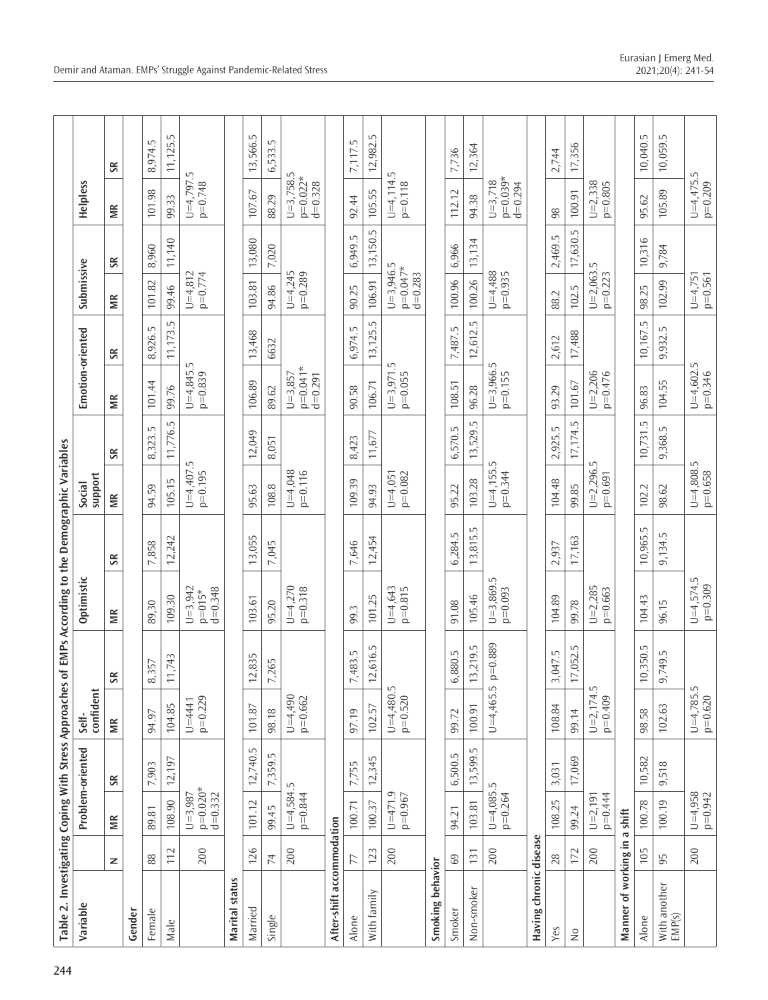| Table 2. Investigating Coping With Stress Approaches<br>244 |                |                                      |                  |                            |                                     | of EMPs According to the Demographic Variables |          |                            |                |                                    |                |                                        |                |                                       |                |
|-------------------------------------------------------------|----------------|--------------------------------------|------------------|----------------------------|-------------------------------------|------------------------------------------------|----------|----------------------------|----------------|------------------------------------|----------------|----------------------------------------|----------------|---------------------------------------|----------------|
| Variable                                                    |                |                                      | Problem-oriented | confident<br>Self-         |                                     | Optimistic                                     |          | support<br>Social          |                | Emotion-oriented                   |                | Submissive                             |                | Helpless                              |                |
|                                                             | z              | МR                                   | $\frac{1}{2}$    | $\widetilde{\Xi}$          | $\Im$                               | МR                                             | $\Im$    | ΜR                         | S <sub>K</sub> | MR                                 | S <sub>R</sub> | МR                                     | S <sub>k</sub> | МR                                    | S <sub>K</sub> |
| Gender                                                      |                |                                      |                  |                            |                                     |                                                |          |                            |                |                                    |                |                                        |                |                                       |                |
| Female                                                      | 88             | 89.81                                | 7,903            | 94.97                      | 8,357                               | 89,30                                          | 7,858    | 94.59                      | 8,323.5        | 101.44                             | 8,926.5        | 101.82                                 | 8,960          | 101.98                                | 8,974.5        |
| Male                                                        | 112            | 108.90                               | 12,197           | 104.85                     | 1,743<br>$\overline{ }$             | 109.30                                         | 12,242   | 105.15                     | 11,776.5       | 99.76                              | 11,173.5       | 99.46                                  | 11,140         | 99.33                                 | 11,125.5       |
|                                                             | 200            | $p=0.020*$<br>d=0.332<br>$U = 3,987$ |                  | $p = 0.229$<br>$U = 4441$  |                                     | $U = 3,942$<br>$p=015*$<br>d=0.348             |          | $U=4,407.5$<br>$p=0.195$   |                | S<br>$U=4,845.$<br>$p=0.839$       |                | $U=4,812$<br>$p=0.774$                 |                | $U=4,797.5$<br>$p=0.748$              |                |
| Marital status                                              |                |                                      |                  |                            |                                     |                                                |          |                            |                |                                    |                |                                        |                |                                       |                |
| Married                                                     | 126            | 101.12                               | 12,740.5         | 101.87                     | 2,835<br>$\overline{\phantom{0}}$   | 103.61                                         | 13,055   | 95.63                      | 12,049         | 106.89                             | 13,468         | 103.81                                 | 13,080         | 107.67                                | 13,566.5       |
| Single                                                      | $\overline{7}$ | 99.45                                | 7,359.5          | 98.18                      | ,265<br>$\overline{ }$              | 95.20                                          | 7,045    | 108.8                      | 8,051          | 89.62                              | 6632           | 94.86                                  | 7,020          | 88.29                                 | 6,533.5        |
|                                                             | 200            | $U=4,584.5$<br>p=0.844               |                  | $U=4,490$<br>$p = 0.662$   |                                     | $U=4,270$<br>$p=0.318$                         |          | $U=4,048$<br>$p=0.116$     |                | $p=0.041*$<br>d=0.291<br>$U=3,857$ |                | $U=4,245$<br>$p = 0.289$               |                | $p=0.022*$<br>d=0.328<br>$U = 3,758.$ | 5              |
| After-shift accommodation                                   |                |                                      |                  |                            |                                     |                                                |          |                            |                |                                    |                |                                        |                |                                       |                |
| Alone                                                       | 77             | 100.71                               | 7,755            | 97.19                      | ',483.5<br>$\overline{\phantom{1}}$ | 99.3                                           | 7,646    | 109.39                     | 8,423          | 90.58                              | 6,974.5        | 90.25                                  | 6,949.5        | 92.44                                 | 7,117.5        |
| With family                                                 | 123            | 100.37                               | 12,345           | 102.57                     | 2,616.5<br>$\overline{ }$           | 101.25                                         | 12,454   | 94.93                      | 11,677         | 106.71                             | 13, 125.5      | 106.91                                 | 13,150.5       | 105.55                                | 12,982.5       |
|                                                             | 200            | $U=471.9$<br>p=0.967                 |                  | $U=4,480.5$<br>p=0.520     |                                     | $U=4,643$<br>$p=0.815$                         |          | $U=4,051$<br>$p = 0.082$   |                | $U = 3,971.5$<br>$p=0.055$         |                | $U = 3,946.5$<br>$p=0.047*$<br>d=0.283 |                | $U=4,114.$<br>$p=0.118$               | 5              |
| Smoking behavior                                            |                |                                      |                  |                            |                                     |                                                |          |                            |                |                                    |                |                                        |                |                                       |                |
| Smoker                                                      | $69$           | 94.21                                | 6,500.5          | 99.72                      | 6,880.5                             | 91.08                                          | 6,284.5  | 95.22                      | 6,570.5        | 108.51                             | 7,487.5        | 100.96                                 | 6,966          | 112.12                                | 7,736          |
| Non-smoker                                                  | 131            | 103.81                               | 13,599.5         | 100.91                     | 3,219.5                             | 105.46                                         | 13,815.5 | 103.28                     | 13,529.5       | 96.28                              | ŗ.<br>12,612.  | 100.26                                 | 13,134         | 94.38                                 | 12,364         |
|                                                             | 200            | $U=4,085.5$<br>$p = 0.264$           |                  | $U=4,465.5$                | $p = 0.889$                         | $U=3,869.5$<br>p=0.093                         |          | $U=4,155.5$<br>$p=0.344$   |                | $U = 3,966.5$<br>$p=0.155$         |                | $U = 4,488$<br>$p=0.935$               |                | $p=0.039*$<br>d=0.294<br>$U=3,718$    |                |
| Having chronic disease                                      |                |                                      |                  |                            |                                     |                                                |          |                            |                |                                    |                |                                        |                |                                       |                |
| Yes                                                         | 28             | 108.25                               | 3,031            | 108.84                     | ,047.5<br>$\sim$                    | 104.89                                         | 2,937    | 104.48                     | 2,925.5        | 93.29                              | 2,612          | 88.2                                   | 2,469.5        | 98                                    | 2,744          |
| $\stackrel{\circ}{\simeq}$                                  | 172            | 99.24                                | 17,069           | 99.14                      | 7,052.5<br>$\overline{\phantom{0}}$ | 99.78                                          | 17,163   | 99.85                      | 17,174.5       | 101.67                             | 17,488         | 102.5                                  | 17,630.5       | 100.91                                | 17,356         |
|                                                             | 200            | $p=0.444$<br>$U = 2,191$             |                  | $U = 2,174$ .<br>$p=0.409$ | LŅ.                                 | $U = 2,285$<br>$p=0.663$                       |          | $U = 2,296.5$<br>$p=0.691$ |                | $U = 2,206$<br>$p=0.476$           |                | $U = 2,063.5$<br>$p=0.223$             |                | $U=2,338$<br>p=0.805                  |                |
| Manner of working in a shift                                |                |                                      |                  |                            |                                     |                                                |          |                            |                |                                    |                |                                        |                |                                       |                |
| Alone                                                       | 105            | 100.78                               | 10,582           | 98.58                      | 0,350.5<br>$\overline{\phantom{0}}$ | 104.43                                         | 10,965.5 | 102.2                      | 10,731.5       | 96.83                              | 10,167.5       | 98.25                                  | 10,316         | 95.62                                 | 10,040.5       |
| With another<br>EMP(s)                                      | 95             | 100.19                               | 9,518            | 102.63                     | 9,749.5                             | 96.15                                          | 9,134.5  | 98.62                      | 9,368.5        | 104.55                             | 9,932.5        | 102.99                                 | 9,784          | 105.89                                | 10,059.5       |
|                                                             | 200            | $U=4,958$<br>p=0.942                 |                  | $U=4,785.5$<br>$p = 0.620$ |                                     | $U=4,574.5$<br>$p=0.309$                       |          | $U=4,808.5$<br>$p = 0.658$ |                | $U=4,602.5$<br>$p=0.346$           |                | $U=4,751$<br>$p = 0.561$               |                | $U=4,475.5$<br>p=0.209                |                |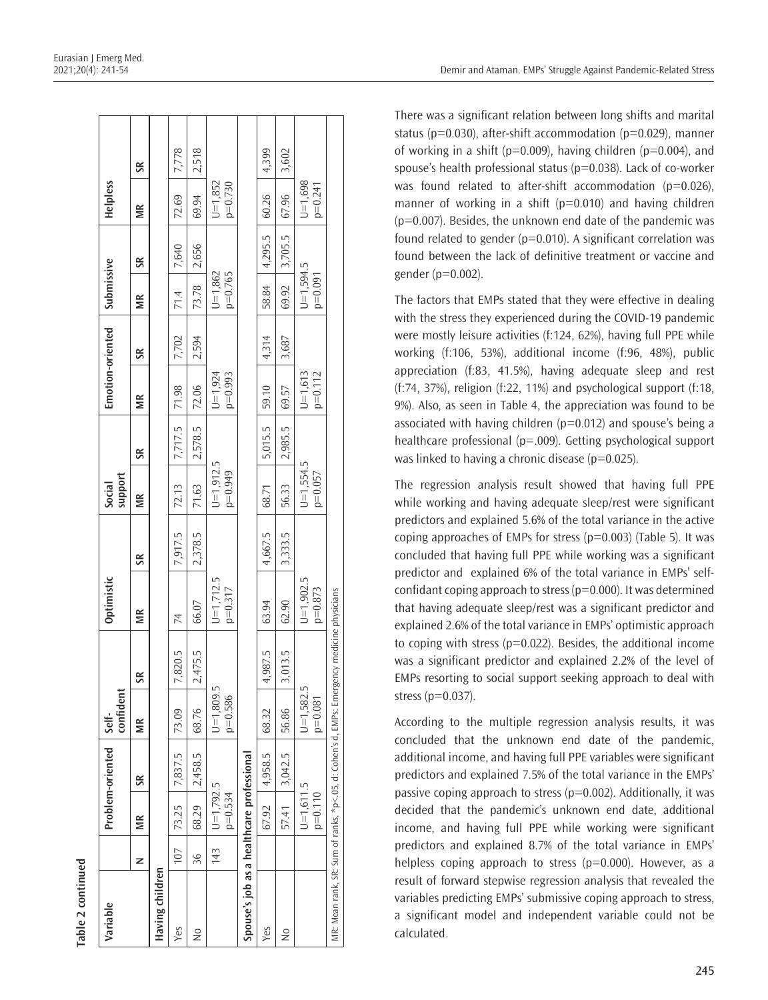| Variable                                                                                   |     |                              | Problem-oriented Self- | confident                    |                | Optimistic                 |         | support<br>Social            |               | Emotion-oriented           |                 | Submissive                 |         | Helpless                 |                 |
|--------------------------------------------------------------------------------------------|-----|------------------------------|------------------------|------------------------------|----------------|----------------------------|---------|------------------------------|---------------|----------------------------|-----------------|----------------------------|---------|--------------------------|-----------------|
|                                                                                            | z   | lk                           | $\frac{8}{2}$          | lk                           | $\frac{8}{10}$ | ÑM                         | $\Im$   | l€                           | $\frac{8}{5}$ | ÑΜ                         | $\frac{8}{100}$ | ÑM                         | $\Im$   | ÑM                       | $\frac{8}{100}$ |
| Having children                                                                            |     |                              |                        |                              |                |                            |         |                              |               |                            |                 |                            |         |                          |                 |
| Yes                                                                                        | 107 | 73.25                        | 7,837.5                | 73.09                        | 7,820.5        | 74                         | 7,917.5 | 72.13                        | 7,717.5       | 71.98                      | 7,702           | 71.4                       | 7,640   | 72.69                    | 7,778           |
| $\frac{1}{2}$                                                                              | 36  | 68.29                        | 2,458.5                | 68.76                        | 2,475.5        | 66.07                      | 2,378.5 | 71.63                        | 2,578.5       | 72.06                      | 2,594           | 73.78                      | 2,656   | 69.94                    | 2,518           |
|                                                                                            | 143 | $U = 1,792.5$<br>$p = 0.534$ |                        | $U = 1,809.5$<br>$p = 0.586$ |                | $U = 1,712.5$<br>$p=0.317$ |         | $U = 1,912.5$<br>$p = 0.949$ |               | $U = 1,924$<br>$p = 0.993$ |                 | $U = 1,862$<br>$p=0.765$   |         | $U = 1,852$<br>$p=0.730$ |                 |
| Spouse's job as a healthcare professional                                                  |     |                              |                        |                              |                |                            |         |                              |               |                            |                 |                            |         |                          |                 |
| Yes                                                                                        |     | 67.92                        | 4,958.5                | 68.32                        | 4,987.5        | 63.94                      | 4,667.5 | 68.71                        | 5,015.5       | 59.10                      | 4,314           | 58.84                      | 4,295.5 | 60.26                    | 4,399           |
| $\frac{1}{2}$                                                                              |     | 57.41                        | 3,042.5                | 56.86                        | 3,013.5        | 62.90                      | 3,333.5 | 56.33                        | 2,985.5       | 69.57                      | 3,687           | 69.92                      | 3,705.5 | 67.96                    | 3,602           |
|                                                                                            |     | $U = 1,611.5$<br>$p = 0.110$ |                        | $U = 1,582.5$<br>$p=0.081$   |                | $U = 1,902.5$<br>$p=0.873$ |         | $U = 1,554.5$<br>$p=0.057$   |               | $U = 1,613$<br>$p=0.112$   |                 | $U = 1,594.5$<br>$p=0.091$ |         | $U = 1,698$<br>$p=0.241$ |                 |
| MR: Mean rank, SR: Sum of ranks, *p<.05, d: Cohen's d, EMPs: Emergency medicine physicians |     |                              |                        |                              |                |                            |         |                              |               |                            |                 |                            |         |                          |                 |

There was a significant relation between long shifts and marital status ( $p=0.030$ ), after-shift accommodation ( $p=0.029$ ), manner of working in a shift ( $p=0.009$ ), having children ( $p=0.004$ ), and spouse's health professional status (p=0.038). Lack of co-worker was found related to after-shift accommodation (p=0.026). manner of working in a shift ( $p=0.010$ ) and having children  $(p=0.007)$ . Besides, the unknown end date of the pandemic was found related to gender ( $p=0.010$ ). A significant correlation was found between the lack of definitive treatment or vaccine and gender (p=0.002).

The factors that EMPs stated that they were effective in dealing with the stress they experienced during the COVID-19 pandemic were mostly leisure activities (f:124, 62%), having full PPE while working (f:106, 53%), additional income (f:96, 48%), public appreciation (f:83, 41.5%), having adequate sleep and rest (f:74, 37%), religion (f:22, 11%) and psychological support (f:18, 9%). Also, as seen in Table 4, the appreciation was found to be associated with having children ( $p=0.012$ ) and spouse's being a healthcare professional (p=.009). Getting psychological support was linked to having a chronic disease ( $p=0.025$ ).

The regression analysis result showed that having full PPE while working and having adequate sleep/rest were significant predictors and explained 5.6% of the total variance in the active coping approaches of EMPs for stress ( $p=0.003$ ) (Table 5). It was concluded that having full PPE while working was a significant predictor and explained 6% of the total variance in EMPs' selfconfidant coping approach to stress ( $p=0.000$ ). It was determined that having adequate sleep/rest was a significant predictor and explained 2.6% of the total variance in EMPs' optimistic approach to coping with stress ( $p=0.022$ ). Besides, the additional income was a significant predictor and explained 2.2% of the level of EMPs resorting to social support seeking approach to deal with stress ( $p=0.037$ ).

According to the multiple regression analysis results, it was concluded that the unknown end date of the pandemic, additional income, and having full PPE variables were significant predictors and explained 7.5% of the total variance in the EMPs' passive coping approach to stress  $(p=0.002)$ . Additionally, it was decided that the pandemic's unknown end date, additional income, and having full PPE while working were significant predictors and explained 8.7% of the total variance in EMPs' helpless coping approach to stress ( $p=0.000$ ). However, as a result of forward stepwise regression analysis that revealed the variables predicting EMPs' submissive coping approach to stress, a significant model and independent variable could not be calculated.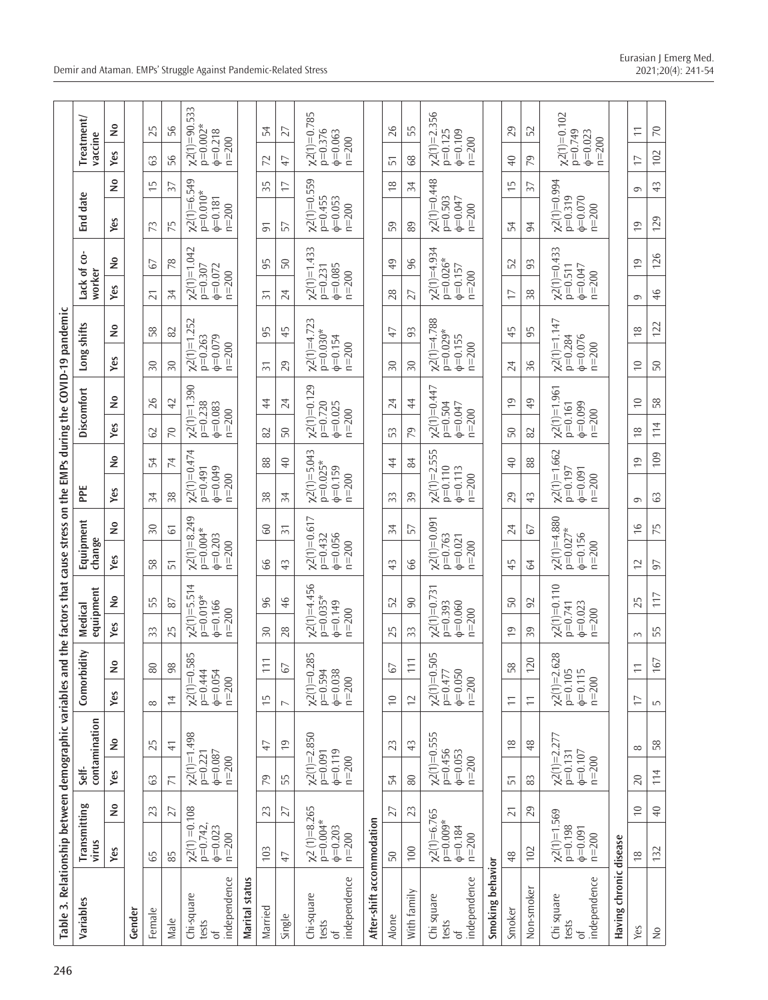| Table 3. Relationship between demographic variables and |                                                                   |                 |                                                                |                |                                                                 |                                  |                                                                |                   |                                                                |                 |                                                               |                 |                                                                 | the factors that cause stress on the EMPs during the COVID-19 pandemic |          |                                                                |                                                                 |                      |                                                                 |                          |
|---------------------------------------------------------|-------------------------------------------------------------------|-----------------|----------------------------------------------------------------|----------------|-----------------------------------------------------------------|----------------------------------|----------------------------------------------------------------|-------------------|----------------------------------------------------------------|-----------------|---------------------------------------------------------------|-----------------|-----------------------------------------------------------------|------------------------------------------------------------------------|----------|----------------------------------------------------------------|-----------------------------------------------------------------|----------------------|-----------------------------------------------------------------|--------------------------|
| Variables                                               | Transmitting<br>virus                                             |                 | Self-                                                          | contamination  | Comorbidity                                                     |                                  | equipment<br>Medical                                           |                   | Equipment<br>change                                            |                 | PPE                                                           |                 | Discomfort                                                      | Long shifts                                                            |          | Lack of co-<br>worker                                          | End date                                                        |                      | Treatment/<br>vaccine                                           |                          |
|                                                         | Yes                                                               | $\frac{1}{2}$   | Yes                                                            | $\frac{1}{2}$  | Yes                                                             | $\tilde{\mathsf{z}}$             | Yes                                                            | ş                 | Yes                                                            | $\frac{1}{2}$   | Yes                                                           | ş               | $\tilde{\mathsf{z}}$<br>Yes                                     | $\tilde{z}$<br>Yes                                                     |          | $\frac{1}{2}$<br>Yes                                           | Yes                                                             | $\tilde{\mathbf{z}}$ | Yes                                                             | ş                        |
| Gender                                                  |                                                                   |                 |                                                                |                |                                                                 |                                  |                                                                |                   |                                                                |                 |                                                               |                 |                                                                 |                                                                        |          |                                                                |                                                                 |                      |                                                                 |                          |
| Female                                                  | 65                                                                | 23              | G3                                                             | 25             | $\infty$                                                        | $80$                             | 33                                                             | 55                | 58                                                             | 30              | 34                                                            | 54              | 26<br>2                                                         | 58<br>30                                                               |          | 67<br>$\overline{21}$                                          | 73                                                              | $\overline{1}$       | යි                                                              | 25                       |
| Male                                                    | 85                                                                | 27              | $\overline{7}$                                                 | $\frac{4}{1}$  | $\overline{4}$                                                  | 98                               | 25                                                             | $87\,$            | $\overline{5}$                                                 | $\rm 6$         | 38                                                            | $\overline{7}$  | 42<br>$\overline{C}$                                            | $82\,$<br>30                                                           |          | $78$<br>34                                                     | 75                                                              | 57                   | 56                                                              | 56                       |
| independence<br>Chi-square<br>tests<br>৳                | $\chi$ 2(1) = 0.108<br>$p=0.742$ ,<br>$\phi = 0.023$<br>$n = 200$ |                 | $\chi$ 2(1)=1.498<br>$\phi = 0.087$<br>$p=0.221$<br>$n = 200$  |                | $\chi$ 2(1)=0.585<br>$p=0.444$<br>$\phi = 0.054$<br>$n = 200$   |                                  | $\chi$ 2(1)=5.514<br>$p=0.019*$<br>$\phi = 0.166$<br>$n = 200$ |                   | $\chi$ 2(1)=8.249<br>$p=0.004*$<br>$\phi = 0.203$<br>$n = 200$ |                 | $\chi$ 2(1)=0.474<br>$\phi = 0.049$<br>$p=0.491$<br>$n = 200$ |                 | $\chi$ 2(1)=1.390<br>$p = 0.238$<br>$\phi = 0.083$<br>$n = 200$ | $\chi$ 2(1)=1.252<br>$p = 0.263$<br>$\phi = 0.079$<br>$n = 200$        |          | $\chi$ 2(1)=1.042<br>$p=0.307$<br>$\phi = 0.072$<br>$n = 200$  | $\chi$ 2(1)=6.549<br>$p=0.010*$<br>$\phi = 0.181$<br>$n = 200$  |                      | $p=0.002*$<br>$\phi = 0.218$<br>$n = 200$                       | $\chi$ 2(1)=90.533       |
| Marital status                                          |                                                                   |                 |                                                                |                |                                                                 |                                  |                                                                |                   |                                                                |                 |                                                               |                 |                                                                 |                                                                        |          |                                                                |                                                                 |                      |                                                                 |                          |
| Married                                                 | 103                                                               | 23              | 79                                                             | 47             | $\overline{1}$                                                  | $\frac{1}{\sqrt{2}}$             | $\overline{50}$                                                | 96                | 99                                                             | 60              | 38                                                            | 88              | 44<br>82                                                        | 95<br>$\overline{51}$                                                  |          | 95<br>$\overline{5}$                                           | $\overline{5}$                                                  | 55                   | 72                                                              | 54                       |
| Single                                                  | 47                                                                | 27              | 55                                                             | $\overline{0}$ | $\overline{\phantom{0}}$                                        | $\sqrt{6}$                       | 28                                                             | 46                | 43                                                             | $\overline{51}$ | 34                                                            | $\overline{40}$ | 24<br>50                                                        | 45<br>29                                                               |          | 50<br>24                                                       | 57                                                              | $\overline{1}$       | 47                                                              | 27                       |
| independence<br>Chi-square<br>tests<br>৳                | $x2(1)=8.265$<br>$p=0.004*$<br>$\phi = 0.203$<br>$n = 200$        |                 | $\chi$ 2(1)=2.850<br>$\phi = 0.119$<br>$p=0.091$<br>$n = 200$  |                | $\chi$ 2(1)=0.285<br>$p = 0.594$<br>$\phi = 0.038$<br>$n = 200$ |                                  | $p=0.035*$<br>$\phi = 0.149$<br>$n = 200$                      | $\chi$ 2(1)=4.456 | $\chi$ 2(1)=0.617<br>$p=0.432$<br>$\phi=0.056$<br>$n = 200$    |                 | $\chi$ 2(1)=5.043<br>$p=0.025*$<br>$\phi=0.159$<br>$n = 200$  |                 | $\chi$ 2(1)=0.129<br>$p=0.720$<br>$\phi = 0.025$<br>$n = 200$   | $\chi$ 2(1)=4.723<br>$p=0.030*$<br>$\phi = 0.154$<br>$n = 200$         |          | $\chi$ 2(1)=1.433<br>$p=0.231$<br>$\phi = 0.085$<br>$n = 200$  | $\chi$ 2(1)=0.559<br>$p=0.455$<br>$\phi = 0.053$<br>$n = 200$   |                      | $\chi$ 2(1) = 0.785<br>$p=0.376$<br>$\phi = 0.063$<br>$n = 200$ |                          |
| After-shift accommodation                               |                                                                   |                 |                                                                |                |                                                                 |                                  |                                                                |                   |                                                                |                 |                                                               |                 |                                                                 |                                                                        |          |                                                                |                                                                 |                      |                                                                 |                          |
| Alone                                                   | 50                                                                | 27              | 54                                                             | 23             | $\supseteq$                                                     | $\sqrt{9}$                       | 25                                                             | 52                | 43                                                             | 34              | 33                                                            | 4               | 24<br>53                                                        | 47<br>$\overline{50}$                                                  |          | 49<br>28                                                       | 59                                                              | $\frac{8}{10}$       | 51                                                              | 26                       |
| With family                                             | 100                                                               | 23              | 80                                                             | 43             | $\overline{c}$                                                  | $\overline{11}$                  | 33                                                             | 90                | 99                                                             | 57              | 39                                                            | 84              | 44<br>79                                                        | 93<br>$\overline{50}$                                                  |          | 96<br>27                                                       | 89                                                              | 34                   | 89                                                              | 55                       |
| independence<br>Chi square<br>tests<br>$\sigma$         | $\chi$ 2(1)=6.765<br>$p=0.009*$<br>$\phi = 0.184$<br>$n = 200$    |                 | $\chi$ 2(1)=0.555<br>$p=0.456$<br>$\phi = 0.053$<br>$n = 200$  |                | $x^{2(1)=0.50}$<br>$\phi = 0.050$<br>$p=0.477$<br>$n = 200$     | 5                                | $\chi$ 2(1)=0.731<br>$p=0.393$<br>$\phi = 0.060$<br>$n = 200$  |                   | $\chi$ 2(1)=0.091<br>$p=0.763$<br>$\phi = 0.021$<br>$n = 200$  |                 | $\chi$ 2(1)=2.555<br>$p=0.110$<br>$\phi = 0.113$<br>$n = 200$ |                 | $\chi^2(1)=0.447$<br>$p=0.504$<br>$\phi = 0.047$<br>$n = 200$   | $\chi$ 2(1)=4.788<br>$p=0.029*$<br>$\phi = 0.155$<br>$n = 200$         |          | $\chi$ 2(1)=4.934<br>$p=0.026*$<br>$\phi = 0.157$<br>$n = 200$ | $\chi$ 2(1)=0.448<br>$p = 0.503$<br>$\phi = 0.047$<br>$n = 200$ |                      | $\chi$ 2(1)=2.356<br>$p=0.125$<br>$\phi = 0.109$<br>$n = 200$   |                          |
| Smoking behavior                                        |                                                                   |                 |                                                                |                |                                                                 |                                  |                                                                |                   |                                                                |                 |                                                               |                 |                                                                 |                                                                        |          |                                                                |                                                                 |                      |                                                                 |                          |
| Smoker                                                  | 48                                                                | $\overline{z}$  | $\overline{5}$                                                 | $\frac{8}{10}$ | $\overline{\overline{\phantom{0}}\phantom{0}}$                  | 58                               | $\overline{0}$                                                 | 50                | 45                                                             | 24              | 29                                                            | $\sqrt{4}$      | $\overline{0}$<br>50                                            | 45<br>24                                                               |          | 52<br>$\overline{1}$                                           | 54                                                              | $\overline{1}$       | $\frac{1}{2}$                                                   | 29                       |
| Non-smoker                                              | 102                                                               | 29              | 83                                                             | 48             |                                                                 | $\overline{ }$<br>$\frac{12}{1}$ | 39                                                             | 92                | $\mathcal{L}$                                                  | 67              | 43                                                            | $88$            | 49<br>82                                                        | 95<br>36                                                               |          | 93<br>38                                                       | 94                                                              | 57                   | 79                                                              | 52                       |
| independence<br>Chi square<br>tests<br>$\sigma$         | $\chi$ 2(1)=1.569<br>$p=0.198$<br>$\phi = 0.091$<br>$n = 200$     |                 | $x^{2(1)} = 2.277$<br>$p=0.131$<br>$\phi = 0.107$<br>$n = 200$ |                | $\chi$ 2(1)=2.628<br>$p=0.105$<br>$\phi = 0.115$<br>n=200       |                                  | $p=0.741$<br>$\phi = 0.023$<br>$n = 200$                       | $\chi$ 2(1)=0.110 | $\chi$ 2(1)=4.880<br>$p=0.027*$<br>$\phi = 0.156$<br>n=200     |                 | $\chi$ 2(1)=1.662<br>$p=0.197$<br>$\phi = 0.091$<br>$n = 200$ |                 | $\chi$ 2(1)=1.961<br>$\phi = 0.099$<br>$p=0.161$<br>$n = 200$   | $\chi$ 2(1)=1.147<br>$p=0.284$<br>$\phi = 0.076$<br>$n = 200$          |          | $\chi$ 2(1)=0.433<br>$p=0.511$<br>$\phi = 0.047$<br>$n = 200$  | $\chi$ 2(1)=0.994<br>$p=0.319$<br>$\phi = 0.070$<br>$n = 200$   |                      | $\chi$ 2(1)=0.102<br>$p=0.749$<br>$\phi = 0.023$<br>$n = 200$   |                          |
| Having chronic disease                                  |                                                                   |                 |                                                                |                |                                                                 |                                  |                                                                |                   |                                                                |                 |                                                               |                 |                                                                 |                                                                        |          |                                                                |                                                                 |                      |                                                                 |                          |
| Yes                                                     | $\frac{8}{10}$                                                    | $\approx$       | 20                                                             | $\infty$       | $\overline{1}$                                                  | $\equiv$                         | $\sim$                                                         | 25                | $\overline{C}$                                                 | $\frac{1}{6}$   | 9                                                             | $\overline{0}$  | $\frac{0}{1}$<br>$\frac{8}{18}$                                 | $\frac{8}{10}$<br>$\frac{0}{1}$                                        | $\sigma$ | $\overline{0}$                                                 | $\overline{6}$                                                  | 9                    | $\overline{1}$                                                  | $\overline{\phantom{0}}$ |
| $\stackrel{\circ}{\simeq}$                              | 132                                                               | $\overline{40}$ | 114                                                            | 58             | $\sqrt{2}$                                                      | $-167$                           | 55                                                             | 117               | 97                                                             | 75              | 63                                                            | 109             | 58<br>114                                                       | 50                                                                     | 122      | 126<br>46                                                      | 129                                                             | 43                   | 102                                                             | $\sqrt{2}$               |
|                                                         |                                                                   |                 |                                                                |                |                                                                 |                                  |                                                                |                   |                                                                |                 |                                                               |                 |                                                                 |                                                                        |          |                                                                |                                                                 |                      |                                                                 |                          |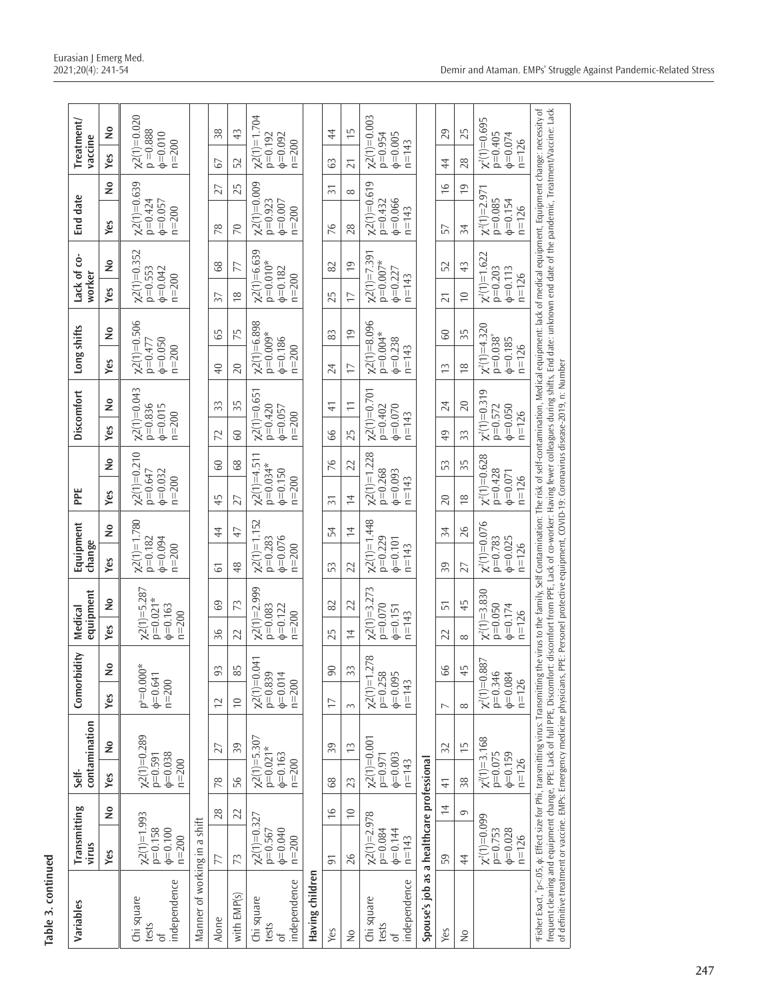| a       |
|---------|
|         |
|         |
|         |
|         |
|         |
|         |
|         |
|         |
|         |
| m       |
|         |
| IJ<br>o |
|         |
|         |
| ᡊ       |
|         |

| Variables                                                                                                                                                                                                                                                                                                                                                                                                                                                                                                                                                                                                                     | Transmitting<br>virus                                           |                            | Šeif.                                                         | contamination            | Comorbidity                                                   | equipment<br>Medical                                          |             | Equipment<br>change                                           |                | PPE                                                           |               | Discomfort                                                    |                          | Long shifts                                                                |                | Lack of co-<br>worker                                         |                    | <b>End date</b>                                               |                      | Treatment/<br>vaccine                                           |                 |
|-------------------------------------------------------------------------------------------------------------------------------------------------------------------------------------------------------------------------------------------------------------------------------------------------------------------------------------------------------------------------------------------------------------------------------------------------------------------------------------------------------------------------------------------------------------------------------------------------------------------------------|-----------------------------------------------------------------|----------------------------|---------------------------------------------------------------|--------------------------|---------------------------------------------------------------|---------------------------------------------------------------|-------------|---------------------------------------------------------------|----------------|---------------------------------------------------------------|---------------|---------------------------------------------------------------|--------------------------|----------------------------------------------------------------------------|----------------|---------------------------------------------------------------|--------------------|---------------------------------------------------------------|----------------------|-----------------------------------------------------------------|-----------------|
|                                                                                                                                                                                                                                                                                                                                                                                                                                                                                                                                                                                                                               | Yes                                                             | $\stackrel{\mathtt{o}}{z}$ | Yes                                                           | $\frac{1}{2}$            | $\stackrel{\mathtt{o}}{z}$<br>Yes                             | Yes                                                           | $\tilde{z}$ | Yes                                                           | $\frac{1}{2}$  | Yes                                                           | $\frac{1}{2}$ | Yes                                                           | $\frac{1}{2}$            | Yes                                                                        | $\frac{1}{2}$  | Yes                                                           | $\frac{1}{2}$      | Yes                                                           | $\tilde{\mathsf{z}}$ | Yes                                                             | ş               |
| independence<br>Chi square<br>tests<br>'ठ                                                                                                                                                                                                                                                                                                                                                                                                                                                                                                                                                                                     | $\chi$ 2(1)=1.993<br>$p = 0.158$<br>$\phi = 0.100$<br>$n = 200$ |                            | $\chi$ 2(1)=0.289<br>$\phi = 0.038$<br>$p=0.591$<br>$n = 200$ |                          | $p^a = 0.000*$<br>$\phi = 0.641$<br>$n = 200$                 | $x2(1)=5.287$<br>$p=0.021*$<br>$\phi = 0.163$<br>$n = 200$    |             | $\chi$ 2(1)=1.780<br>$p=0.182$<br>$\phi = 0.094$<br>$n = 200$ |                | $\chi$ 2(1)=0.210<br>$p=0.647$<br>$\phi = 0.032$<br>$n = 200$ |               | $\chi$ 2(1)=0.043<br>$p=0.836$<br>$\phi = 0.015$<br>$n = 200$ |                          | $\chi$ 2(1)=0.506<br>$\phi = 0.050$<br>$p=0.477$<br>$n = 200$              |                | $\phi = 0.042$<br>$p = 0.553$<br>$n = 200$                    | $\chi$ 2(1)=0.352  | $\chi$ 2(1)=0.639<br>$p=0.424$<br>$\phi = 0.057$<br>$n = 200$ |                      | $\chi$ 2(1)=0.020<br>$p = 0.888$<br>$\phi = 0.010$<br>$n = 200$ |                 |
| Manner of working in a shift                                                                                                                                                                                                                                                                                                                                                                                                                                                                                                                                                                                                  |                                                                 |                            |                                                               |                          |                                                               |                                                               |             |                                                               |                |                                                               |               |                                                               |                          |                                                                            |                |                                                               |                    |                                                               |                      |                                                                 |                 |
| Alone                                                                                                                                                                                                                                                                                                                                                                                                                                                                                                                                                                                                                         | 77                                                              | 28                         | 78                                                            | 27                       | 93<br>$\overline{C}$                                          | 36                                                            | 69          | $\overline{6}$                                                | $\overline{4}$ | 45                                                            | $\infty$      | 72                                                            | 33                       | $\overline{40}$                                                            | 65             | 57                                                            | 89                 | 78                                                            | 27                   | 67                                                              | 38              |
| with EMP(s)                                                                                                                                                                                                                                                                                                                                                                                                                                                                                                                                                                                                                   | 73                                                              | $\overline{2}$             | 56                                                            | 39                       | 85<br>$\overline{10}$                                         | $\overline{2}$                                                | 73          | 48                                                            | 47             | 27                                                            | 89            | 60                                                            | 35                       | $\overline{20}$                                                            | 75             | $\frac{8}{10}$                                                | 77                 | $\overline{70}$                                               | 25                   | 52                                                              | 43              |
| Chi square<br>tests                                                                                                                                                                                                                                                                                                                                                                                                                                                                                                                                                                                                           | $\chi$ 2(1)=0.327<br>$p = 0.567$                                |                            | $\chi$ 2(1)=5.307<br>$p=0.021*$                               |                          | $\chi$ 2(1)=0.04<br>$p=0.839$                                 | $\chi$ 2(1)=2.999<br>$p = 0.083$                              |             | $\chi$ 2(1)=1.152<br>$p=0.283$                                |                | $\chi$ 2(1)=4.511<br>$p=0.034*$                               |               | $\chi$ 2(1)=0.651<br>$p=0.420$                                |                          | $\chi$ 2(1)=6.898<br>$p=0.009*$                                            |                | $p=0.010*$                                                    | $\chi$ 2(1)=6.639  | $\chi$ 2(1)=0.009<br>$p=0.923$                                |                      | $\chi$ 2(1)=1.704<br>$p=0.192$                                  |                 |
| independence<br>৳                                                                                                                                                                                                                                                                                                                                                                                                                                                                                                                                                                                                             | $\phi = 0.040$<br>$n = 200$                                     |                            | $\phi = 0.163$<br>$n = 200$                                   |                          | $\phi = 0.014$<br>$n = 200$                                   | $\phi = 0.122$<br>$n = 200$                                   |             | $\phi = 0.076$<br>$n = 200$                                   |                | $\phi = 0.150$<br>$n = 200$                                   |               | $\phi = 0.057$<br>$n = 200$                                   |                          | $\phi = 0.186$<br>$n = 200$                                                |                | $\phi = 0.182$<br>$n = 200$                                   |                    | $\phi = 0.007$<br>$n = 200$                                   |                      | $\phi = 0.092$<br>$n = 200$                                     |                 |
| Having children                                                                                                                                                                                                                                                                                                                                                                                                                                                                                                                                                                                                               |                                                                 |                            |                                                               |                          |                                                               |                                                               |             |                                                               |                |                                                               |               |                                                               |                          |                                                                            |                |                                                               |                    |                                                               |                      |                                                                 |                 |
| Yes                                                                                                                                                                                                                                                                                                                                                                                                                                                                                                                                                                                                                           | $\overline{9}$                                                  | $\frac{1}{6}$              | 89                                                            | 39                       | 90<br>$\overline{1}$                                          | 25                                                            | 82          | 53                                                            | 54             | $\overline{51}$                                               | 76            | 99                                                            | $\overline{4}$           | 24                                                                         | 83             | 25                                                            | 82                 | 76                                                            | $\overline{3}$       | යි                                                              | 44              |
| $\frac{1}{2}$                                                                                                                                                                                                                                                                                                                                                                                                                                                                                                                                                                                                                 | 26                                                              | $\approx$                  | 23                                                            | $\widetilde{\mathbb{C}}$ | 33<br>3                                                       | $\overline{4}$                                                | 22          | 22                                                            | $\overline{4}$ | $\overline{4}$                                                | 22            | 25                                                            | $\overline{\phantom{0}}$ | $\overline{1}$                                                             | $\overline{0}$ | $\overline{1}$                                                | $\overline{0}$     | 28                                                            | $\infty$             | $\overline{21}$                                                 | $\overline{15}$ |
| Chi square<br>tests                                                                                                                                                                                                                                                                                                                                                                                                                                                                                                                                                                                                           | $\chi$ 2(1)=2.978<br>$p = 0.084$                                |                            | $\chi$ 2(1)=0.001<br>$p=0.971$                                |                          | $\chi$ 2(1)=1.27<br>$p=0.258$                                 | $\chi^2(1)=3.273$<br>$p=0.070$                                |             | $x2(1)=1.448$<br>$p=0.229$                                    |                | $\chi$ 2(1)=1.228<br>$p=0.268$                                |               | $\chi$ 2(1)=0.701<br>$p=0.402$                                |                          | $\chi$ 2(1)=8.096<br>$p=0.004*$                                            |                | $p=0.007*$                                                    | $x^{2(1)} = 7.391$ | $\chi$ 2(1)=0.619<br>$p=0.432$                                |                      | $\chi$ 2(1)=0.003<br>$p=0.954$                                  |                 |
| independence<br>৳                                                                                                                                                                                                                                                                                                                                                                                                                                                                                                                                                                                                             | $\phi = 0.144$<br>$n = 143$                                     |                            | $\phi = 0.003$<br>$n = 143$                                   |                          | $\phi = 0.095$<br>$n = 143$                                   | $\phi = 0.151$<br>$n = 143$                                   |             | $\phi = 0.101$<br>$n = 143$                                   |                | $\phi = 0.093$<br>$n = 143$                                   |               | $\phi = 0.070$<br>$n = 143$                                   |                          | $\phi = 0.238$<br>$n = 143$                                                |                | $\phi = 0.227$<br>$n = 143$                                   |                    | $\phi = 0.066$<br>$n = 143$                                   |                      | $\phi = 0.005$<br>$n = 143$                                     |                 |
| Spouse's job as a healthcare professional                                                                                                                                                                                                                                                                                                                                                                                                                                                                                                                                                                                     |                                                                 |                            |                                                               |                          |                                                               |                                                               |             |                                                               |                |                                                               |               |                                                               |                          |                                                                            |                |                                                               |                    |                                                               |                      |                                                                 |                 |
| Yes                                                                                                                                                                                                                                                                                                                                                                                                                                                                                                                                                                                                                           | 59                                                              | $\overline{4}$             | $\frac{4}{ }$                                                 | 32                       | 99<br>$\overline{ }$                                          | 22                                                            | 51          | 39                                                            | 34             | $\overline{20}$                                               | S             | 49                                                            | 24                       | $\widetilde{\mathbb{C}}$                                                   | $\infty$       | $\overline{21}$                                               | 52                 | 57                                                            | $\frac{0}{1}$        | $\overline{4}$                                                  | 29              |
| $\gtrsim$                                                                                                                                                                                                                                                                                                                                                                                                                                                                                                                                                                                                                     | 44                                                              | 9                          | 38                                                            | $\overline{1}$           | 45<br>$\infty$                                                | $\infty$                                                      | 45          | 27                                                            | 26             | $\frac{8}{10}$                                                | 35            | 33                                                            | $20\,$                   | $\frac{8}{10}$                                                             | 35             | $\approx$                                                     | 43                 | 34                                                            | $\overline{0}$       | 28                                                              | 25              |
|                                                                                                                                                                                                                                                                                                                                                                                                                                                                                                                                                                                                                               | $\chi^2(1)=0.099$<br>$\phi = 0.028$<br>$p = 0.753$<br>$n = 126$ |                            | $\chi^2(1)=3.168$<br>$p=0.075$<br>$\phi = 0.159$<br>$n = 126$ |                          | $\chi^2(1)=0.887$<br>$p=0.346$<br>$\phi = 0.084$<br>$n = 126$ | $\chi^2(1)=3.830$<br>$p=0.050$<br>$\phi = 0.174$<br>$n = 126$ |             | $\chi^2(1)=0.076$<br>$p=0.783$<br>$\phi = 0.025$<br>$n = 126$ |                | $\chi^2(1)=0.628$<br>$p=0.428$<br>$\phi = 0.071$<br>$n = 126$ |               | $\chi^2(1)=0.319$<br>$p=0.572$<br>$\phi = 0.050$<br>$n = 126$ |                          | $\chi^2(1)=4.320$<br>$p=0.038$ <sup>*</sup><br>$\phi = 0.185$<br>$n = 126$ |                | $\chi^2(1)=1.622$<br>$p=0.203$<br>$\phi = 0.113$<br>$n = 126$ |                    | $\chi^2(1)=2.971$<br>$p=0.085$<br>$\phi = 0.154$<br>$n = 126$ |                      | $\chi^2(1)=0.695$<br>$p=0.405$<br>$\phi = 0.074$<br>$n = 126$   |                 |
| frequent cleaning and equipment change, PPE: Lack of full PPE, Discomfort: discomfort from PPE, Lack of to-worker: Having fewer colleagues during shifts, End date: unknown end date of the pandemic, Treatment/Vaccine: Lack<br>Fisher Exact, "p<.05, ¢: Effect size for Phi, transmitting virus: Transmitting the virus to the family, Self Contamination: The risk of self-contamination, Medical equipment: lack of medical equipment, Equipment change: ne<br>of definitive treatment or vaccine. EMPs: Emergency medicine physicians, PPE: Personel protective equipment, COVID-19: Coronavirus disease-2019, n: Number |                                                                 |                            |                                                               |                          |                                                               |                                                               |             |                                                               |                |                                                               |               |                                                               |                          |                                                                            |                |                                                               |                    |                                                               |                      |                                                                 |                 |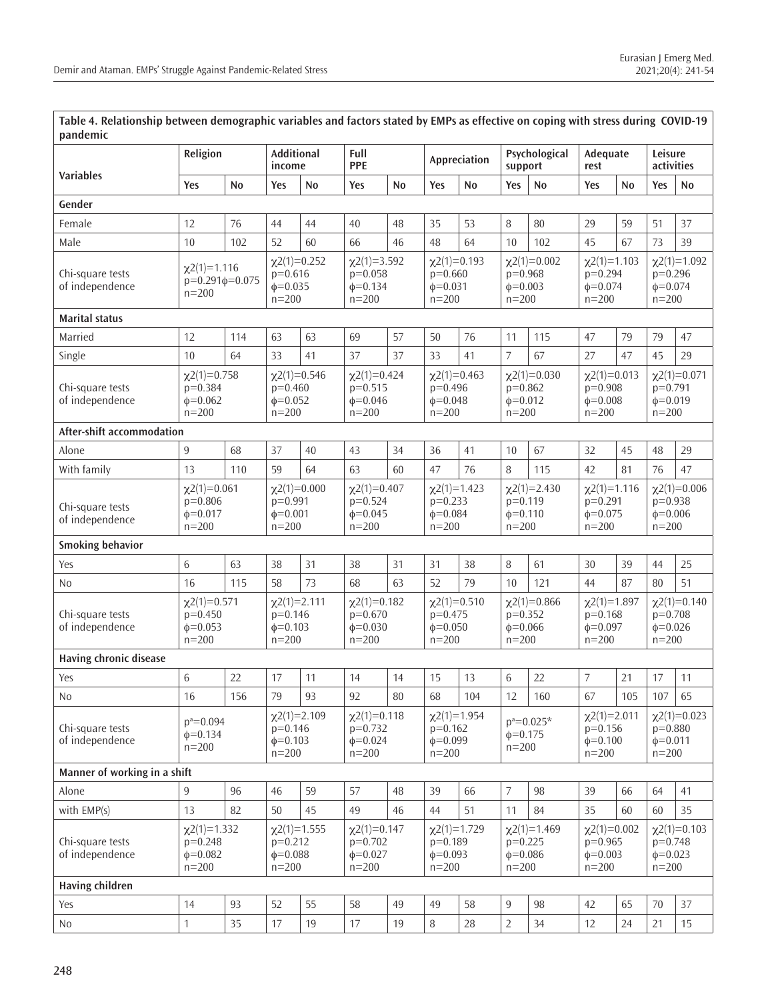| Table 4. Relationship between demographic variables and factors stated by EMPS as effective on coping with stress during "COVID-19"<br>pandemic |                                                               |           |                                                               |                   |                                                               |           |                                                               |              |                                                |                   |                                                               |           |                                                               |                   |
|-------------------------------------------------------------------------------------------------------------------------------------------------|---------------------------------------------------------------|-----------|---------------------------------------------------------------|-------------------|---------------------------------------------------------------|-----------|---------------------------------------------------------------|--------------|------------------------------------------------|-------------------|---------------------------------------------------------------|-----------|---------------------------------------------------------------|-------------------|
|                                                                                                                                                 | Religion                                                      |           | <b>Additional</b><br>income                                   |                   | Full<br><b>PPE</b>                                            |           |                                                               | Appreciation | support                                        | Psychological     | Adequate<br>rest                                              |           | Leisure<br>activities                                         |                   |
| <b>Variables</b>                                                                                                                                | Yes                                                           | <b>No</b> | Yes                                                           | <b>No</b>         | Yes                                                           | <b>No</b> | Yes                                                           | <b>No</b>    | Yes                                            | No                | Yes                                                           | <b>No</b> | Yes                                                           | No                |
| Gender                                                                                                                                          |                                                               |           |                                                               |                   |                                                               |           |                                                               |              |                                                |                   |                                                               |           |                                                               |                   |
| Female                                                                                                                                          | 12                                                            | 76        | 44                                                            | 44                | 40                                                            | 48        | 35                                                            | 53           | 8                                              | 80                | 29                                                            | 59        | 51                                                            | 37                |
| Male                                                                                                                                            | 10                                                            | 102       | 52                                                            | 60                | 66                                                            | 46        | 48                                                            | 64           | 10                                             | 102               | 45                                                            | 67        | 73                                                            | 39                |
| Chi-square tests<br>of independence                                                                                                             | $\chi$ 2(1)=1.116<br>$p=0.291\phi=0.075$<br>$n = 200$         |           | $p=0.616$<br>$\phi = 0.035$<br>$n = 200$                      | $\chi$ 2(1)=0.252 | $\chi$ 2(1)=3.592<br>$p=0.058$<br>$\phi = 0.134$<br>$n = 200$ |           | $\chi$ 2(1)=0.193<br>$p=0.660$<br>$\phi = 0.031$<br>$n = 200$ |              | $p=0.968$<br>$\phi = 0.003$<br>$n = 200$       | $\chi$ 2(1)=0.002 | $\chi$ 2(1)=1.103<br>$p=0.294$<br>$\phi = 0.074$<br>$n = 200$ |           | $p=0.296$<br>$\phi = 0.074$<br>$n = 200$                      | $\chi$ 2(1)=1.092 |
| <b>Marital status</b>                                                                                                                           |                                                               |           |                                                               |                   |                                                               |           |                                                               |              |                                                |                   |                                                               |           |                                                               |                   |
| Married                                                                                                                                         | 12                                                            | 114       | 63                                                            | 63                | 69                                                            | 57        | 50                                                            | 76           | 11                                             | 115               | 47                                                            | 79        | 79                                                            | 47                |
| Single                                                                                                                                          | 10                                                            | 64        | 33                                                            | 41                | 37                                                            | 37        | 33                                                            | 41           | $\overline{7}$                                 | 67                | 27                                                            | 47        | 45                                                            | 29                |
| Chi-square tests<br>of independence                                                                                                             | $\chi$ 2(1)=0.758<br>$p=0.384$<br>$\phi = 0.062$<br>$n = 200$ |           | $p=0.460$<br>$\phi = 0.052$<br>$n = 200$                      | $\chi$ 2(1)=0.546 | $\chi$ 2(1)=0.424<br>$p=0.515$<br>$\phi = 0.046$<br>$n = 200$ |           | $\chi$ 2(1)=0.463<br>$p=0.496$<br>$\phi = 0.048$<br>$n = 200$ |              | $p=0.862$<br>$\phi = 0.012$<br>$n = 200$       | $\chi$ 2(1)=0.030 | $\chi$ 2(1)=0.013<br>$p=0.908$<br>$\phi = 0.008$<br>$n = 200$ |           | $p=0.791$<br>$\phi = 0.019$<br>$n = 200$                      | $\chi$ 2(1)=0.071 |
| After-shift accommodation                                                                                                                       |                                                               |           |                                                               |                   |                                                               |           |                                                               |              |                                                |                   |                                                               |           |                                                               |                   |
| Alone                                                                                                                                           | 9                                                             | 68        | 37                                                            | 40                | 43                                                            | 34        | 36                                                            | 41           | 10                                             | 67                | 32                                                            | 45        | 48                                                            | 29                |
| With family                                                                                                                                     | 13                                                            | 110       | 59                                                            | 64                | 63                                                            | 60        | 47                                                            | 76           | 8                                              | 115               | 42                                                            | 81        | 76                                                            | 47                |
| Chi-square tests<br>of independence                                                                                                             | $\chi$ 2(1)=0.061<br>$p=0.806$<br>$\phi = 0.017$<br>$n = 200$ |           | $p=0.991$<br>$\phi = 0.001$<br>$n = 200$                      | $\chi$ 2(1)=0.000 | $\chi$ 2(1)=0.407<br>$p=0.524$<br>$\phi = 0.045$<br>$n = 200$ |           | $\chi$ 2(1)=1.423<br>$p=0.233$<br>$\phi = 0.084$<br>$n = 200$ |              | $p=0.119$<br>$\phi = 0.110$<br>$n = 200$       | $\chi$ 2(1)=2.430 | $\chi$ 2(1)=1.116<br>$p=0.291$<br>$\phi = 0.075$<br>$n = 200$ |           | $p=0.938$<br>$\phi = 0.006$<br>$n = 200$                      | $\chi$ 2(1)=0.006 |
| <b>Smoking behavior</b>                                                                                                                         |                                                               |           |                                                               |                   |                                                               |           |                                                               |              |                                                |                   |                                                               |           |                                                               |                   |
| Yes                                                                                                                                             | 6                                                             | 63        | 38                                                            | 31                | 38                                                            | 31        | 31                                                            | 38           | 8                                              | 61                | 30                                                            | 39        | 44                                                            | 25                |
| N <sub>o</sub>                                                                                                                                  | 16                                                            | 115       | 58                                                            | 73                | 68                                                            | 63        | 52                                                            | 79           | 10                                             | 121               | 44                                                            | 87        | 80                                                            | 51                |
| Chi-square tests<br>of independence                                                                                                             | $\chi$ 2(1)=0.571<br>$p=0.450$<br>$\phi = 0.053$<br>$n = 200$ |           | $p=0.146$<br>$\phi = 0.103$<br>$n = 200$                      | $\chi$ 2(1)=2.111 | $\chi$ 2(1)=0.182<br>$p=0.670$<br>$\phi = 0.030$<br>$n = 200$ |           | $\chi$ 2(1)=0.510<br>$p=0.475$<br>$\phi = 0.050$<br>$n = 200$ |              | $p=0.352$<br>$\phi = 0.066$<br>$n = 200$       | $\chi$ 2(1)=0.866 | $\chi$ 2(1)=1.897<br>$p=0.168$<br>$\phi = 0.097$<br>$n = 200$ |           | $p=0.708$<br>$\phi = 0.026$<br>$n = 200$                      | $\chi$ 2(1)=0.140 |
| Having chronic disease                                                                                                                          |                                                               |           |                                                               |                   |                                                               |           |                                                               |              |                                                |                   |                                                               |           |                                                               |                   |
| Yes                                                                                                                                             | 6                                                             | 22        | 17                                                            | 11                | 14                                                            | 14        | 15                                                            | 13           | 6                                              | 22                | 7                                                             | 21        | 17                                                            | 11                |
| No                                                                                                                                              | 16                                                            | 156       | 79                                                            | 93                | 92                                                            | 80        | 68                                                            | 104          | 12                                             | 160               | 67                                                            | 105       | 107                                                           | 65                |
| Chi-square tests<br>of independence                                                                                                             | $p^a = 0.094$<br>$\phi = 0.134$<br>$n = 200$                  |           | $\chi$ 2(1)=2.109<br>$p=0.146$<br>$\phi = 0.103$<br>$n = 200$ |                   | $\chi$ 2(1)=0.118<br>$p=0.732$<br>$\phi = 0.024$<br>$n = 200$ |           | $\chi$ 2(1)=1.954<br>$p=0.162$<br>$\phi = 0.099$<br>$n = 200$ |              | $p^a = 0.025^*$<br>$\phi = 0.175$<br>$n = 200$ |                   | $\chi$ 2(1)=2.011<br>$p=0.156$<br>$\phi = 0.100$<br>$n = 200$ |           | $\chi$ 2(1)=0.023<br>$p=0.880$<br>$\phi = 0.011$<br>$n = 200$ |                   |
| Manner of working in a shift                                                                                                                    |                                                               |           |                                                               |                   |                                                               |           |                                                               |              |                                                |                   |                                                               |           |                                                               |                   |
| Alone                                                                                                                                           | 9                                                             | 96        | 46                                                            | 59                | 57                                                            | 48        | 39                                                            | 66           | $\overline{7}$                                 | 98                | 39                                                            | 66        | 64                                                            | 41                |
| with EMP(s)                                                                                                                                     | 13                                                            | 82        | 50                                                            | 45                | 49                                                            | 46        | 44                                                            | 51           | 11                                             | 84                | 35                                                            | 60        | 60                                                            | 35                |
| Chi-square tests<br>of independence                                                                                                             | $\chi$ 2(1)=1.332<br>$p=0.248$<br>$\phi = 0.082$<br>$n = 200$ |           | $p=0.212$<br>$\phi = 0.088$<br>$n = 200$                      | $\chi$ 2(1)=1.555 | $\chi$ 2(1)=0.147<br>$p=0.702$<br>$\phi = 0.027$<br>$n = 200$ |           | $\chi$ 2(1)=1.729<br>$p=0.189$<br>$\phi = 0.093$<br>$n = 200$ |              | $p=0.225$<br>$\phi = 0.086$<br>$n = 200$       | $\chi$ 2(1)=1.469 | $\chi$ 2(1)=0.002<br>$p=0.965$<br>$\phi = 0.003$<br>$n = 200$ |           | $p=0.748$<br>$\phi = 0.023$<br>$n = 200$                      | $\chi$ 2(1)=0.103 |
| Having children                                                                                                                                 |                                                               |           |                                                               |                   |                                                               |           |                                                               |              |                                                |                   |                                                               |           |                                                               |                   |
| Yes                                                                                                                                             | 14                                                            | 93        | 52                                                            | 55                | 58                                                            | 49        | 49                                                            | 58           | $\overline{9}$                                 | 98                | 42                                                            | 65        | 70                                                            | 37                |
| No                                                                                                                                              | $\mathbf{1}$                                                  | 35        | 17                                                            | 19                | 17                                                            | 19        | 8                                                             | 28           | $\overline{2}$                                 | 34                | 12                                                            | 24        | 21                                                            | 15                |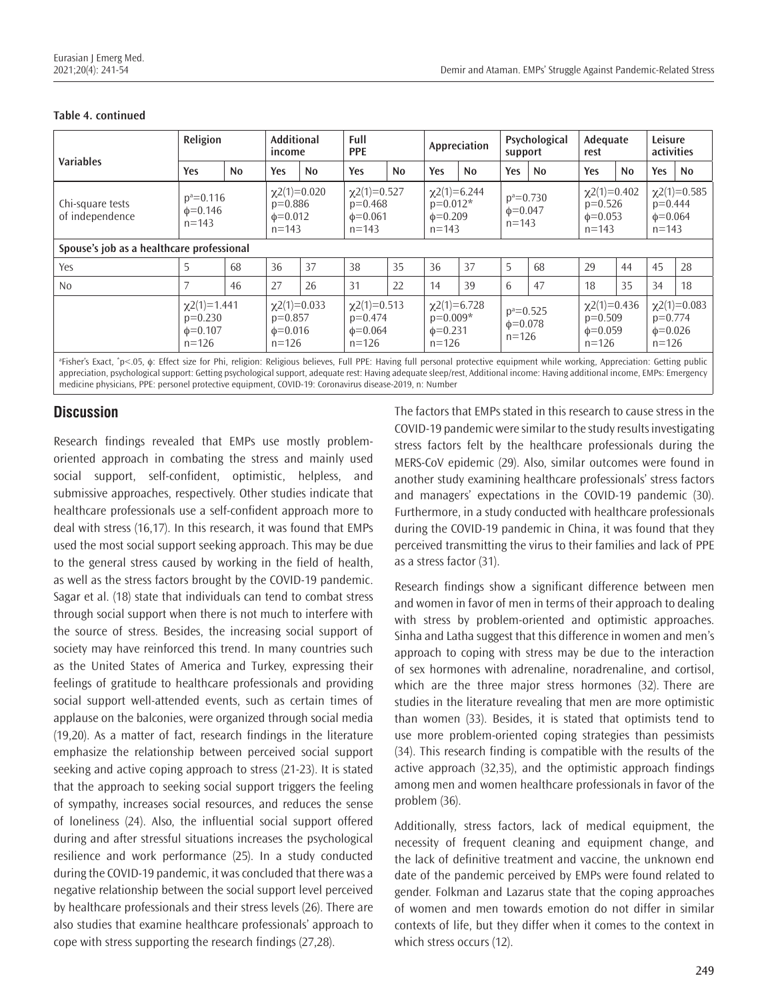| <b>Variables</b>                          | Religion                                                      |           | Additional<br>income                                          |           | Full<br><b>PPE</b>                                            |           |                                                                | Appreciation | support                                      | Psychological | Adequate<br>rest                                              |           | Leisure<br>activities                    |                   |
|-------------------------------------------|---------------------------------------------------------------|-----------|---------------------------------------------------------------|-----------|---------------------------------------------------------------|-----------|----------------------------------------------------------------|--------------|----------------------------------------------|---------------|---------------------------------------------------------------|-----------|------------------------------------------|-------------------|
|                                           | Yes                                                           | <b>No</b> | Yes                                                           | <b>No</b> | Yes                                                           | <b>No</b> | Yes                                                            | <b>No</b>    | Yes                                          | <b>No</b>     | Yes                                                           | <b>No</b> | Yes                                      | <b>No</b>         |
| Chi-square tests<br>of independence       | $p^a = 0.116$<br>$\phi = 0.146$<br>$n = 143$                  |           | $\chi$ 2(1)=0.020<br>$p=0.886$<br>$\phi = 0.012$<br>$n = 143$ |           | $\chi$ 2(1)=0.527<br>$p=0.468$<br>$\phi = 0.061$<br>$n = 143$ |           | $\chi$ 2(1)=6.244<br>$p=0.012*$<br>$\phi = 0.209$<br>$n = 143$ |              | $p^a = 0.730$<br>$\phi = 0.047$<br>$n = 143$ |               | $\chi$ 2(1)=0.402<br>$p=0.526$<br>$\phi = 0.053$<br>$n = 143$ |           | $p=0.444$<br>$\phi = 0.064$<br>$n = 143$ | $\chi$ 2(1)=0.585 |
| Spouse's job as a healthcare professional |                                                               |           |                                                               |           |                                                               |           |                                                                |              |                                              |               |                                                               |           |                                          |                   |
| Yes                                       | 5                                                             | 68        | 36                                                            | 37        | 38                                                            | 35        | 36                                                             | 37           | 5                                            | 68            | 29                                                            | 44        | 45                                       | 28                |
| N <sub>0</sub>                            | 7<br>46                                                       |           | 27                                                            | 26        | 31                                                            | 22        | 14                                                             | 39           | 6                                            | 47            | 18                                                            | 35        | 34                                       | 18                |
|                                           | $\chi$ 2(1)=1.441<br>$p=0.230$<br>$\phi = 0.107$<br>$n = 126$ |           | $\chi$ 2(1)=0.033<br>$p=0.857$<br>$\phi = 0.016$<br>$n = 126$ |           | $\chi$ 2(1)=0.513<br>$p=0.474$<br>$\phi = 0.064$<br>$n = 126$ |           | $\chi$ 2(1)=6.728<br>$p=0.009*$<br>$\phi = 0.231$<br>$n = 126$ |              | $p^a = 0.525$<br>$\phi = 0.078$<br>$n = 126$ |               | $\chi$ 2(1)=0.436<br>$p=0.509$<br>$\phi = 0.059$<br>$n = 126$ |           | $p=0.774$<br>$\phi = 0.026$<br>$n = 126$ | $\chi$ 2(1)=0.083 |

#### **Table 4. continued**

°Fisher's Exact, \*p<.05, φ: Effect size for Phi, religion: Religious believes, Full PPE: Having full personal protective equipment while working, Appreciation: Getting public appreciation, psychological support: Getting psychological support, adequate rest: Having adequate sleep/rest, Additional income: Having additional income, EMPs: Emergency medicine physicians, PPE: personel protective equipment, COVID-19: Coronavirus disease-2019, n: Number

# **Discussion**

Research findings revealed that EMPs use mostly problemoriented approach in combating the stress and mainly used social support, self-confident, optimistic, helpless, and submissive approaches, respectively. Other studies indicate that healthcare professionals use a self-confident approach more to deal with stress (16,17). In this research, it was found that EMPs used the most social support seeking approach. This may be due to the general stress caused by working in the field of health, as well as the stress factors brought by the COVID-19 pandemic. Sagar et al. (18) state that individuals can tend to combat stress through social support when there is not much to interfere with the source of stress. Besides, the increasing social support of society may have reinforced this trend. In many countries such as the United States of America and Turkey, expressing their feelings of gratitude to healthcare professionals and providing social support well-attended events, such as certain times of applause on the balconies, were organized through social media (19,20). As a matter of fact, research findings in the literature emphasize the relationship between perceived social support seeking and active coping approach to stress (21-23). It is stated that the approach to seeking social support triggers the feeling of sympathy, increases social resources, and reduces the sense of loneliness (24). Also, the influential social support offered during and after stressful situations increases the psychological resilience and work performance (25). In a study conducted during the COVID-19 pandemic, it was concluded that there was a negative relationship between the social support level perceived by healthcare professionals and their stress levels (26). There are also studies that examine healthcare professionals' approach to cope with stress supporting the research findings (27,28).

The factors that EMPs stated in this research to cause stress in the COVID-19 pandemic were similar to the study results investigating stress factors felt by the healthcare professionals during the MERS-CoV epidemic (29). Also, similar outcomes were found in another study examining healthcare professionals' stress factors and managers' expectations in the COVID-19 pandemic (30). Furthermore, in a study conducted with healthcare professionals during the COVID-19 pandemic in China, it was found that they perceived transmitting the virus to their families and lack of PPE as a stress factor (31).

Research findings show a significant difference between men and women in favor of men in terms of their approach to dealing with stress by problem-oriented and optimistic approaches. Sinha and Latha suggest that this difference in women and men's approach to coping with stress may be due to the interaction of sex hormones with adrenaline, noradrenaline, and cortisol, which are the three major stress hormones (32). There are studies in the literature revealing that men are more optimistic than women (33). Besides, it is stated that optimists tend to use more problem-oriented coping strategies than pessimists (34). This research finding is compatible with the results of the active approach (32,35), and the optimistic approach findings among men and women healthcare professionals in favor of the problem (36).

Additionally, stress factors, lack of medical equipment, the necessity of frequent cleaning and equipment change, and the lack of definitive treatment and vaccine, the unknown end date of the pandemic perceived by EMPs were found related to gender. Folkman and Lazarus state that the coping approaches of women and men towards emotion do not differ in similar contexts of life, but they differ when it comes to the context in which stress occurs (12).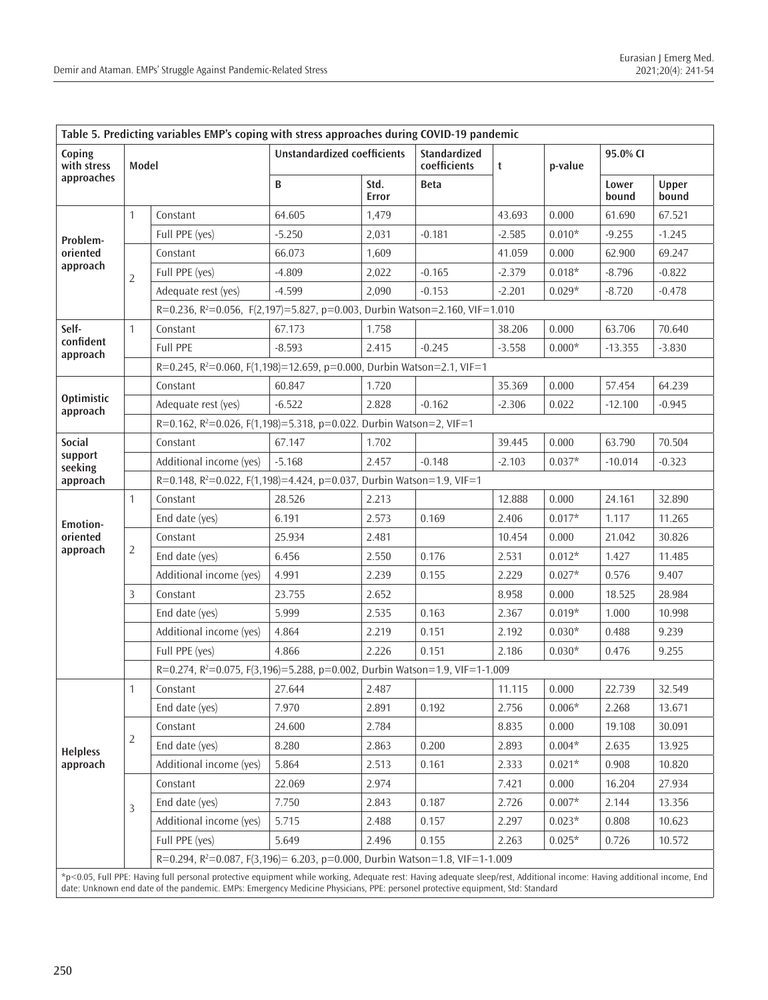|                               |                | Table 5. Predicting variables EMP's coping with stress approaches during COVID-19 pandemic                                                                                 |                                    |               |                                     |          |          |                |                |
|-------------------------------|----------------|----------------------------------------------------------------------------------------------------------------------------------------------------------------------------|------------------------------------|---------------|-------------------------------------|----------|----------|----------------|----------------|
| Coping<br>with stress         | Model          |                                                                                                                                                                            | <b>Unstandardized coefficients</b> |               | <b>Standardized</b><br>coefficients | t        | p-value  | 95.0% CI       |                |
| approaches                    |                |                                                                                                                                                                            | B                                  | Std.<br>Error | <b>Beta</b>                         |          |          | Lower<br>bound | Upper<br>bound |
|                               | $\mathbf{1}$   | Constant                                                                                                                                                                   | 64.605                             | 1,479         |                                     | 43.693   | 0.000    | 61.690         | 67.521         |
| Problem-                      |                | Full PPE (yes)                                                                                                                                                             | $-5.250$                           | 2,031         | $-0.181$                            | $-2.585$ | $0.010*$ | $-9.255$       | $-1.245$       |
| oriented                      |                | Constant                                                                                                                                                                   | 66.073                             | 1.609         |                                     | 41.059   | 0.000    | 62.900         | 69.247         |
| approach                      | $\overline{2}$ | Full PPE (yes)                                                                                                                                                             | $-4.809$                           | 2,022         | $-0.165$                            | $-2.379$ | $0.018*$ | $-8.796$       | $-0.822$       |
|                               |                | Adequate rest (yes)                                                                                                                                                        | $-4.599$                           | 2,090         | $-0.153$                            | $-2.201$ | $0.029*$ | $-8.720$       | $-0.478$       |
|                               |                | R=0.236, R <sup>2</sup> =0.056, F(2,197)=5.827, p=0.003, Durbin Watson=2.160, VIF=1.010                                                                                    |                                    |               |                                     |          |          |                |                |
| Self-                         | $\mathbf{1}$   | Constant                                                                                                                                                                   | 67.173                             | 1.758         |                                     | 38.206   | 0.000    | 63.706         | 70.640         |
| confident<br>approach         |                | <b>Full PPE</b>                                                                                                                                                            | $-8.593$                           | 2.415         | $-0.245$                            | $-3.558$ | $0.000*$ | $-13.355$      | $-3.830$       |
|                               |                | R=0.245, R <sup>2</sup> =0.060, F(1,198)=12.659, p=0.000, Durbin Watson=2.1, VIF=1                                                                                         |                                    |               |                                     |          |          |                |                |
|                               |                | Constant                                                                                                                                                                   | 60.847                             | 1.720         |                                     | 35.369   | 0.000    | 57.454         | 64.239         |
| <b>Optimistic</b><br>approach |                | Adequate rest (yes)                                                                                                                                                        | $-6.522$                           | 2.828         | $-0.162$                            | $-2.306$ | 0.022    | $-12.100$      | $-0.945$       |
|                               |                | R=0.162, R <sup>2</sup> =0.026, F(1,198)=5.318, p=0.022. Durbin Watson=2, VIF=1                                                                                            |                                    |               |                                     |          |          |                |                |
| Social                        |                | Constant                                                                                                                                                                   | 67.147                             | 1.702         |                                     | 39.445   | 0.000    | 63.790         | 70.504         |
| support<br>seeking            |                | Additional income (yes)                                                                                                                                                    | $-5.168$                           | 2.457         | $-0.148$                            | $-2.103$ | $0.037*$ | $-10.014$      | $-0.323$       |
| approach                      |                | R=0.148, R <sup>2</sup> =0.022, F(1,198)=4.424, p=0.037, Durbin Watson=1.9, VIF=1                                                                                          |                                    |               |                                     |          |          |                |                |
|                               | $\mathbf{1}$   | Constant                                                                                                                                                                   | 28.526                             | 2.213         |                                     | 12.888   | 0.000    | 24.161         | 32.890         |
| <b>Emotion-</b>               |                | End date (yes)                                                                                                                                                             | 6.191                              | 2.573         | 0.169                               | 2.406    | $0.017*$ | 1.117          | 11.265         |
| oriented                      |                | Constant                                                                                                                                                                   | 25.934                             | 2.481         |                                     | 10.454   | 0.000    | 21.042         | 30.826         |
| approach                      | $\overline{2}$ | End date (yes)                                                                                                                                                             | 6.456                              | 2.550         | 0.176                               | 2.531    | $0.012*$ | 1.427          | 11.485         |
|                               |                | Additional income (yes)                                                                                                                                                    | 4.991                              | 2.239         | 0.155                               | 2.229    | $0.027*$ | 0.576          | 9.407          |
|                               | 3              | Constant                                                                                                                                                                   | 23.755                             | 2.652         |                                     | 8.958    | 0.000    | 18.525         | 28.984         |
|                               |                | End date (yes)                                                                                                                                                             | 5.999                              | 2.535         | 0.163                               | 2.367    | $0.019*$ | 1.000          | 10.998         |
|                               |                | Additional income (yes)                                                                                                                                                    | 4.864                              | 2.219         | 0.151                               | 2.192    | $0.030*$ | 0.488          | 9.239          |
|                               |                | Full PPE (yes)                                                                                                                                                             | 4.866                              | 2.226         | 0.151                               | 2.186    | $0.030*$ | 0.476          | 9.255          |
|                               |                | R=0.274, R <sup>2</sup> =0.075, F(3,196)=5.288, p=0.002, Durbin Watson=1.9, VIF=1-1.009                                                                                    |                                    |               |                                     |          |          |                |                |
|                               | 1              | Constant                                                                                                                                                                   | 27.644                             | 2.487         |                                     | 11.115   | 0.000    | 22.739         | 32.549         |
|                               |                | End date (yes)                                                                                                                                                             | 7.970                              | 2.891         | 0.192                               | 2.756    | $0.006*$ | 2.268          | 13.671         |
|                               |                | Constant                                                                                                                                                                   | 24.600                             | 2.784         |                                     | 8.835    | 0.000    | 19.108         | 30.091         |
| <b>Helpless</b>               | 2              | End date (yes)                                                                                                                                                             | 8.280                              | 2.863         | 0.200                               | 2.893    | $0.004*$ | 2.635          | 13.925         |
| approach                      |                | Additional income (yes)                                                                                                                                                    | 5.864                              | 2.513         | 0.161                               | 2.333    | $0.021*$ | 0.908          | 10.820         |
|                               |                | Constant                                                                                                                                                                   | 22.069                             | 2.974         |                                     | 7.421    | 0.000    | 16.204         | 27.934         |
|                               | 3              | End date (yes)                                                                                                                                                             | 7.750                              | 2.843         | 0.187                               | 2.726    | $0.007*$ | 2.144          | 13.356         |
|                               |                | Additional income (yes)                                                                                                                                                    | 5.715                              | 2.488         | 0.157                               | 2.297    | $0.023*$ | 0.808          | 10.623         |
|                               |                | Full PPE (yes)                                                                                                                                                             | 5.649                              | 2.496         | 0.155                               | 2.263    | $0.025*$ | 0.726          | 10.572         |
|                               |                | R=0.294, R <sup>2</sup> =0.087, F(3,196)= 6.203, p=0.000, Durbin Watson=1.8, VIF=1-1.009                                                                                   |                                    |               |                                     |          |          |                |                |
|                               |                | $*$ n<0.05. Full PPF: Having full personal protective equipment while working. Adequate rest: Having adequate sleep/rest. Additional income: Having additional income. Fnd |                                    |               |                                     |          |          |                |                |

\*p<0.05, Full PPE: Having full personal protective equipment while working, Adequate rest: Having adequate sleep/rest, Additional income: Having additional income, End date: Unknown end date of the pandemic. EMPs: Emergency Medicine Physicians, PPE: personel protective equipment, Std: Standard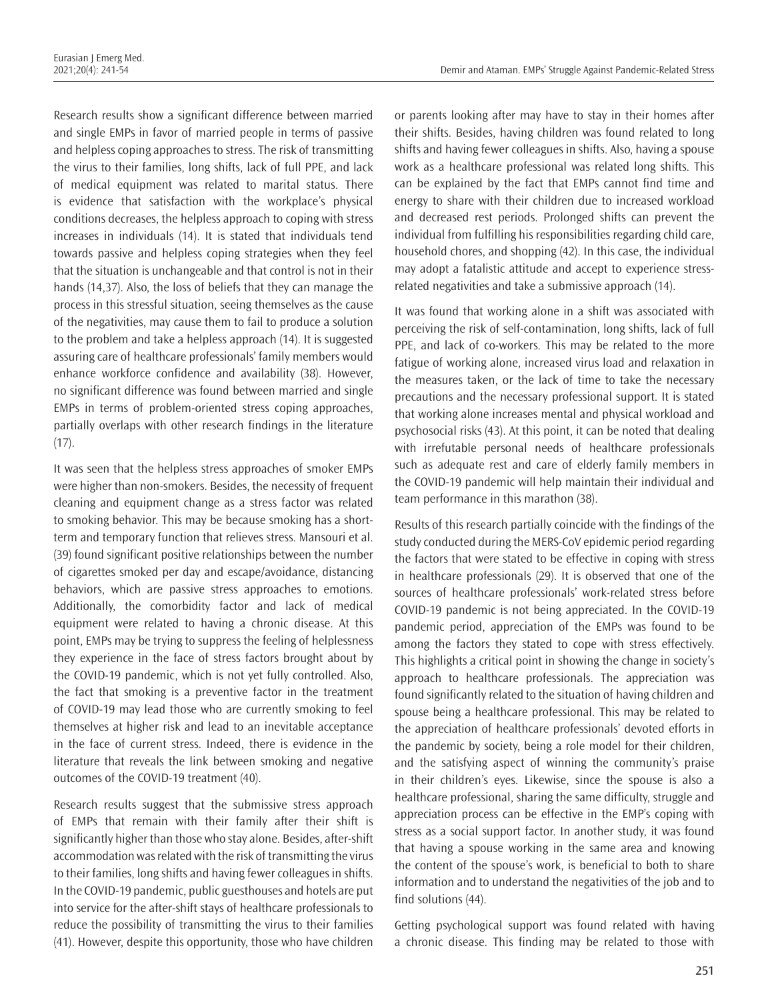Research results show a significant difference between married and single EMPs in favor of married people in terms of passive and helpless coping approaches to stress. The risk of transmitting the virus to their families, long shifts, lack of full PPE, and lack of medical equipment was related to marital status. There is evidence that satisfaction with the workplace's physical conditions decreases, the helpless approach to coping with stress increases in individuals (14). It is stated that individuals tend towards passive and helpless coping strategies when they feel that the situation is unchangeable and that control is not in their hands (14,37). Also, the loss of beliefs that they can manage the process in this stressful situation, seeing themselves as the cause of the negativities, may cause them to fail to produce a solution to the problem and take a helpless approach (14). It is suggested assuring care of healthcare professionals' family members would enhance workforce confidence and availability (38). However, no significant difference was found between married and single EMPs in terms of problem-oriented stress coping approaches, partially overlaps with other research findings in the literature  $(17)$ .

It was seen that the helpless stress approaches of smoker EMPs were higher than non-smokers. Besides, the necessity of frequent cleaning and equipment change as a stress factor was related to smoking behavior. This may be because smoking has a shortterm and temporary function that relieves stress. Mansouri et al. (39) found significant positive relationships between the number of cigarettes smoked per day and escape/avoidance, distancing behaviors, which are passive stress approaches to emotions. Additionally, the comorbidity factor and lack of medical equipment were related to having a chronic disease. At this point, EMPs may be trying to suppress the feeling of helplessness they experience in the face of stress factors brought about by the COVID-19 pandemic, which is not yet fully controlled. Also, the fact that smoking is a preventive factor in the treatment of COVID-19 may lead those who are currently smoking to feel themselves at higher risk and lead to an inevitable acceptance in the face of current stress. Indeed, there is evidence in the literature that reveals the link between smoking and negative outcomes of the COVID-19 treatment (40).

Research results suggest that the submissive stress approach of EMPs that remain with their family after their shift is significantly higher than those who stay alone. Besides, after-shift accommodation was related with the risk of transmitting the virus to their families, long shifts and having fewer colleagues in shifts. In the COVID-19 pandemic, public guesthouses and hotels are put into service for the after-shift stays of healthcare professionals to reduce the possibility of transmitting the virus to their families (41). However, despite this opportunity, those who have children

or parents looking after may have to stay in their homes after their shifts. Besides, having children was found related to long shifts and having fewer colleagues in shifts. Also, having a spouse work as a healthcare professional was related long shifts. This can be explained by the fact that EMPs cannot find time and energy to share with their children due to increased workload and decreased rest periods. Prolonged shifts can prevent the individual from fulfilling his responsibilities regarding child care, household chores, and shopping (42). In this case, the individual may adopt a fatalistic attitude and accept to experience stressrelated negativities and take a submissive approach (14).

It was found that working alone in a shift was associated with perceiving the risk of self-contamination, long shifts, lack of full PPE, and lack of co-workers. This may be related to the more fatigue of working alone, increased virus load and relaxation in the measures taken, or the lack of time to take the necessary precautions and the necessary professional support. It is stated that working alone increases mental and physical workload and psychosocial risks (43). At this point, it can be noted that dealing with irrefutable personal needs of healthcare professionals such as adequate rest and care of elderly family members in the COVID-19 pandemic will help maintain their individual and team performance in this marathon (38).

Results of this research partially coincide with the findings of the study conducted during the MERS-CoV epidemic period regarding the factors that were stated to be effective in coping with stress in healthcare professionals (29). It is observed that one of the sources of healthcare professionals' work-related stress before COVID-19 pandemic is not being appreciated. In the COVID-19 pandemic period, appreciation of the EMPs was found to be among the factors they stated to cope with stress effectively. This highlights a critical point in showing the change in society's approach to healthcare professionals. The appreciation was found significantly related to the situation of having children and spouse being a healthcare professional. This may be related to the appreciation of healthcare professionals' devoted efforts in the pandemic by society, being a role model for their children, and the satisfying aspect of winning the community's praise in their children's eyes. Likewise, since the spouse is also a healthcare professional, sharing the same difficulty, struggle and appreciation process can be effective in the EMP's coping with stress as a social support factor. In another study, it was found that having a spouse working in the same area and knowing the content of the spouse's work, is beneficial to both to share information and to understand the negativities of the job and to find solutions (44).

Getting psychological support was found related with having a chronic disease. This finding may be related to those with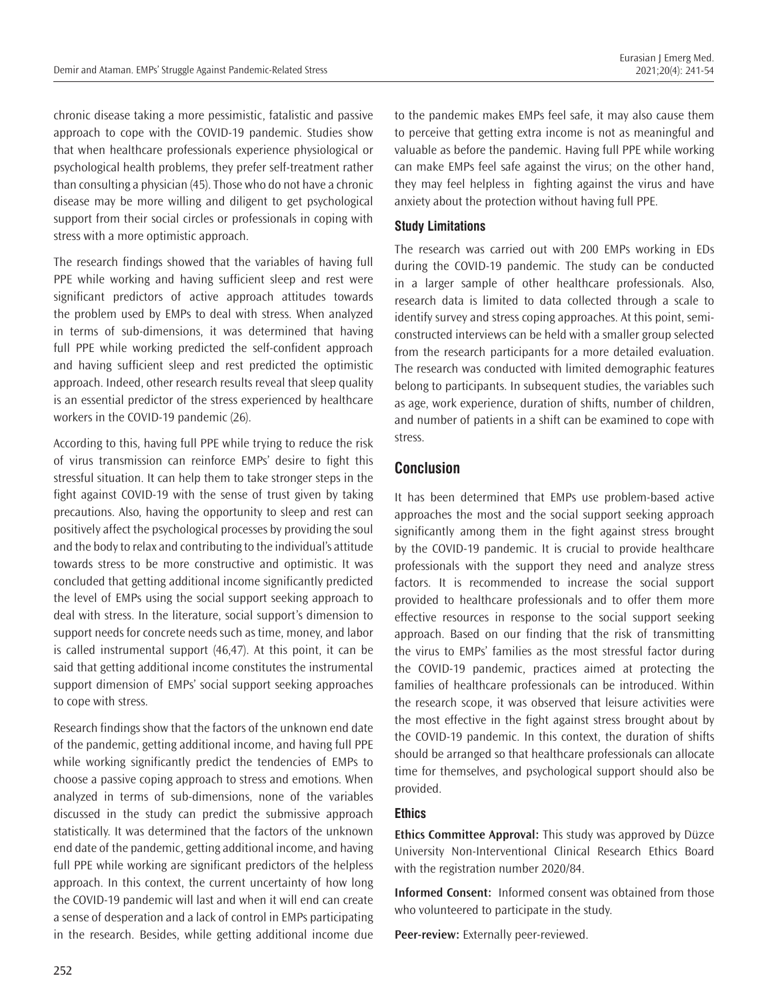chronic disease taking a more pessimistic, fatalistic and passive approach to cope with the COVID-19 pandemic. Studies show that when healthcare professionals experience physiological or psychological health problems, they prefer self-treatment rather than consulting a physician (45). Those who do not have a chronic disease may be more willing and diligent to get psychological support from their social circles or professionals in coping with stress with a more optimistic approach.

The research findings showed that the variables of having full PPE while working and having sufficient sleep and rest were significant predictors of active approach attitudes towards the problem used by EMPs to deal with stress. When analyzed in terms of sub-dimensions, it was determined that having full PPE while working predicted the self-confident approach and having sufficient sleep and rest predicted the optimistic approach. Indeed, other research results reveal that sleep quality is an essential predictor of the stress experienced by healthcare workers in the COVID-19 pandemic (26).

According to this, having full PPE while trying to reduce the risk of virus transmission can reinforce EMPs' desire to fight this stressful situation. It can help them to take stronger steps in the fight against COVID-19 with the sense of trust given by taking precautions. Also, having the opportunity to sleep and rest can positively affect the psychological processes by providing the soul and the body to relax and contributing to the individual's attitude towards stress to be more constructive and optimistic. It was concluded that getting additional income significantly predicted the level of EMPs using the social support seeking approach to deal with stress. In the literature, social support's dimension to support needs for concrete needs such as time, money, and labor is called instrumental support (46,47). At this point, it can be said that getting additional income constitutes the instrumental support dimension of EMPs' social support seeking approaches to cope with stress.

Research findings show that the factors of the unknown end date of the pandemic, getting additional income, and having full PPE while working significantly predict the tendencies of EMPs to choose a passive coping approach to stress and emotions. When analyzed in terms of sub-dimensions, none of the variables discussed in the study can predict the submissive approach statistically. It was determined that the factors of the unknown end date of the pandemic, getting additional income, and having full PPE while working are significant predictors of the helpless approach. In this context, the current uncertainty of how long the COVID-19 pandemic will last and when it will end can create a sense of desperation and a lack of control in EMPs participating in the research. Besides, while getting additional income due

to the pandemic makes EMPs feel safe, it may also cause them to perceive that getting extra income is not as meaningful and valuable as before the pandemic. Having full PPE while working can make EMPs feel safe against the virus; on the other hand, they may feel helpless in fighting against the virus and have anxiety about the protection without having full PPE.

# **Study Limitations**

The research was carried out with 200 EMPs working in EDs during the COVID-19 pandemic. The study can be conducted in a larger sample of other healthcare professionals. Also, research data is limited to data collected through a scale to identify survey and stress coping approaches. At this point, semiconstructed interviews can be held with a smaller group selected from the research participants for a more detailed evaluation. The research was conducted with limited demographic features belong to participants. In subsequent studies, the variables such as age, work experience, duration of shifts, number of children, and number of patients in a shift can be examined to cope with stress.

# **Conclusion**

It has been determined that EMPs use problem-based active approaches the most and the social support seeking approach significantly among them in the fight against stress brought by the COVID-19 pandemic. It is crucial to provide healthcare professionals with the support they need and analyze stress factors. It is recommended to increase the social support provided to healthcare professionals and to offer them more effective resources in response to the social support seeking approach. Based on our finding that the risk of transmitting the virus to EMPs' families as the most stressful factor during the COVID-19 pandemic, practices aimed at protecting the families of healthcare professionals can be introduced. Within the research scope, it was observed that leisure activities were the most effective in the fight against stress brought about by the COVID-19 pandemic. In this context, the duration of shifts should be arranged so that healthcare professionals can allocate time for themselves, and psychological support should also be provided.

## **Ethics**

**Ethics Committee Approval:** This study was approved by Düzce University Non-Interventional Clinical Research Ethics Board with the registration number 2020/84.

**Informed Consent:** Informed consent was obtained from those who volunteered to participate in the study.

**Peer-review:** Externally peer-reviewed.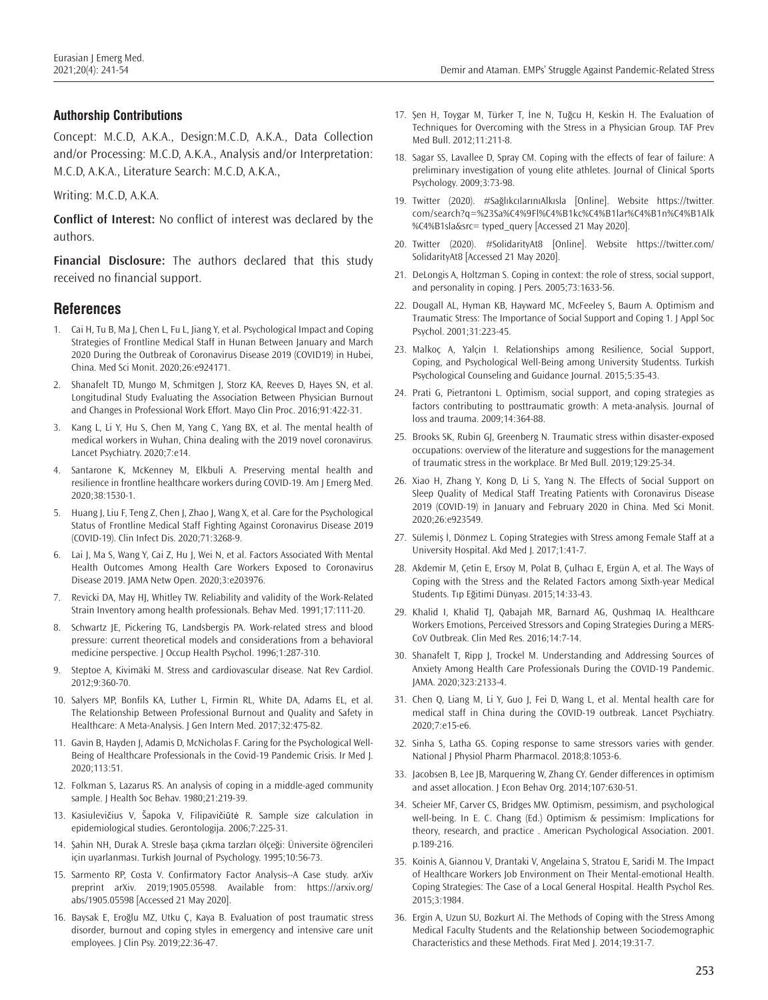## **Authorship Contributions**

Concept: M.C.D, A.K.A., Design:M.C.D, A.K.A., Data Collection and/or Processing: M.C.D, A.K.A., Analysis and/or Interpretation: M.C.D, A.K.A., Literature Search: M.C.D, A.K.A.,

Writing: M.C.D, A.K.A.

**Conflict of Interest:** No conflict of interest was declared by the authors.

**Financial Disclosure:** The authors declared that this study received no financial support.

## **References**

- 1. Cai H, Tu B, Ma J, Chen L, Fu L, Jiang Y, et al. Psychological Impact and Coping Strategies of Frontline Medical Staff in Hunan Between January and March 2020 During the Outbreak of Coronavirus Disease 2019 (COVID19) in Hubei, China. Med Sci Monit. 2020;26:e924171.
- 2. Shanafelt TD, Mungo M, Schmitgen J, Storz KA, Reeves D, Hayes SN, et al. Longitudinal Study Evaluating the Association Between Physician Burnout and Changes in Professional Work Effort. Mayo Clin Proc. 2016;91:422-31.
- 3. Kang L, Li Y, Hu S, Chen M, Yang C, Yang BX, et al. The mental health of medical workers in Wuhan, China dealing with the 2019 novel coronavirus. Lancet Psychiatry. 2020;7:e14.
- 4. Santarone K, McKenney M, Elkbuli A. Preserving mental health and resilience in frontline healthcare workers during COVID-19. Am J Emerg Med. 2020;38:1530-1.
- 5. Huang J, Liu F, Teng Z, Chen J, Zhao J, Wang X, et al. Care for the Psychological Status of Frontline Medical Staff Fighting Against Coronavirus Disease 2019 (COVID-19). Clin Infect Dis. 2020;71:3268-9.
- 6. Lai J, Ma S, Wang Y, Cai Z, Hu J, Wei N, et al. Factors Associated With Mental Health Outcomes Among Health Care Workers Exposed to Coronavirus Disease 2019. JAMA Netw Open. 2020;3:e203976.
- 7. Revicki DA, May HJ, Whitley TW. Reliability and validity of the Work-Related Strain Inventory among health professionals. Behav Med. 1991;17:111-20.
- 8. Schwartz JE, Pickering TG, Landsbergis PA. Work-related stress and blood pressure: current theoretical models and considerations from a behavioral medicine perspective. J Occup Health Psychol. 1996;1:287-310.
- 9. Steptoe A, Kivimäki M. Stress and cardiovascular disease. Nat Rev Cardiol. 2012;9:360-70.
- 10. Salyers MP, Bonfils KA, Luther L, Firmin RL, White DA, Adams EL, et al. The Relationship Between Professional Burnout and Quality and Safety in Healthcare: A Meta-Analysis. J Gen Intern Med. 2017;32:475-82.
- 11. Gavin B, Hayden J, Adamis D, McNicholas F. Caring for the Psychological Well-Being of Healthcare Professionals in the Covid-19 Pandemic Crisis. Ir Med J. 2020;113:51.
- 12. Folkman S, Lazarus RS. An analysis of coping in a middle-aged community sample. J Health Soc Behav. 1980;21:219-39.
- 13. Kasiulevičius V, Šapoka V, Filipavičiūtė R. Sample size calculation in epidemiological studies. Gerontologija. 2006;7:225-31.
- 14. Şahin NH, Durak A. Stresle başa çıkma tarzları ölçeği: Üniversite öğrencileri için uyarlanması. Turkish Journal of Psychology. 1995;10:56-73.
- 15. Sarmento RP, Costa V. Confirmatory Factor Analysis--A Case study. arXiv preprint arXiv. 2019;1905.05598. Available from: https://arxiv.org/ abs/1905.05598 [Accessed 21 May 2020].
- 16. Baysak E, Eroğlu MZ, Utku Ç, Kaya B. Evaluation of post traumatic stress disorder, burnout and coping styles in emergency and intensive care unit employees. J Clin Psy. 2019;22:36-47.
- 17. Şen H, Toygar M, Türker T, İne N, Tuğcu H, Keskin H. The Evaluation of Techniques for Overcoming with the Stress in a Physician Group. TAF Prev Med Bull. 2012;11:211-8.
- 18. Sagar SS, Lavallee D, Spray CM. Coping with the effects of fear of failure: A preliminary investigation of young elite athletes. Journal of Clinical Sports Psychology. 2009;3:73-98.
- 19. Twitter (2020). #SağlıkcılarınıAlkısla [Online]. Website https://twitter. com/search?q=%23Sa%C4%9Fl%C4%B1kc%C4%B1lar%C4%B1n%C4%B1Alk %C4%B1sla&src= typed\_query [Accessed 21 May 2020].
- 20. Twitter (2020). #SolidarityAt8 [Online]. Website https://twitter.com/ SolidarityAt8 [Accessed 21 May 2020].
- 21. DeLongis A, Holtzman S. Coping in context: the role of stress, social support, and personality in coping. J Pers. 2005;73:1633-56.
- 22. Dougall AL, Hyman KB, Hayward MC, McFeeley S, Baum A. Optimism and Traumatic Stress: The Importance of Social Support and Coping 1. J Appl Soc Psychol. 2001;31:223-45.
- 23. Malkoç A, Yalçin I. Relationships among Resilience, Social Support, Coping, and Psychological Well-Being among University Studentss. Turkish Psychological Counseling and Guidance Journal. 2015;5:35-43.
- 24. Prati G, Pietrantoni L. Optimism, social support, and coping strategies as factors contributing to posttraumatic growth: A meta-analysis. Journal of loss and trauma. 2009;14:364-88.
- 25. Brooks SK, Rubin GJ, Greenberg N. Traumatic stress within disaster-exposed occupations: overview of the literature and suggestions for the management of traumatic stress in the workplace. Br Med Bull. 2019;129:25-34.
- 26. Xiao H, Zhang Y, Kong D, Li S, Yang N. The Effects of Social Support on Sleep Quality of Medical Staff Treating Patients with Coronavirus Disease 2019 (COVID-19) in January and February 2020 in China. Med Sci Monit. 2020;26:e923549.
- 27. Sülemiş İ, Dönmez L. Coping Strategies with Stress among Female Staff at a University Hospital. Akd Med J. 2017;1:41-7.
- 28. Akdemir M, Çetin E, Ersoy M, Polat B, Çulhacı E, Ergün A, et al. The Ways of Coping with the Stress and the Related Factors among Sixth-year Medical Students. Tıp Eğitimi Dünyası. 2015;14:33-43.
- 29. Khalid I, Khalid TJ, Qabajah MR, Barnard AG, Qushmaq IA. Healthcare Workers Emotions, Perceived Stressors and Coping Strategies During a MERS-CoV Outbreak. Clin Med Res. 2016;14:7-14.
- 30. Shanafelt T, Ripp J, Trockel M. Understanding and Addressing Sources of Anxiety Among Health Care Professionals During the COVID-19 Pandemic. JAMA. 2020;323:2133-4.
- 31. Chen Q, Liang M, Li Y, Guo J, Fei D, Wang L, et al. Mental health care for medical staff in China during the COVID-19 outbreak. Lancet Psychiatry. 2020;7:e15-e6.
- 32. Sinha S, Latha GS. Coping response to same stressors varies with gender. National J Physiol Pharm Pharmacol. 2018;8:1053-6.
- 33. Jacobsen B, Lee JB, Marquering W, Zhang CY. Gender differences in optimism and asset allocation. J Econ Behav Org. 2014;107:630-51.
- 34. Scheier MF, Carver CS, Bridges MW. Optimism, pessimism, and psychological well-being. In E. C. Chang (Ed.) Optimism & pessimism: Implications for theory, research, and practice . American Psychological Association. 2001. p.189-216.
- 35. Koinis A, Giannou V, Drantaki V, Angelaina S, Stratou E, Saridi M. The Impact of Healthcare Workers Job Environment on Their Mental-emotional Health. Coping Strategies: The Case of a Local General Hospital. Health Psychol Res. 2015;3:1984.
- 36. Ergin A, Uzun SU, Bozkurt Aİ. The Methods of Coping with the Stress Among Medical Faculty Students and the Relationship between Sociodemographic Characteristics and these Methods. Firat Med J. 2014;19:31-7.